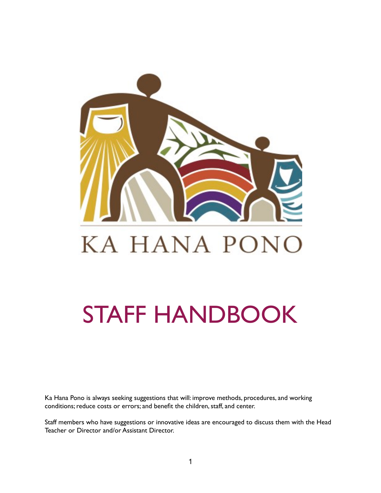

# STAFF HANDBOOK

Ka Hana Pono is always seeking suggestions that will: improve methods, procedures, and working conditions; reduce costs or errors; and benefit the children, staff, and center.

Staff members who have suggestions or innovative ideas are encouraged to discuss them with the Head Teacher or Director and/or Assistant Director.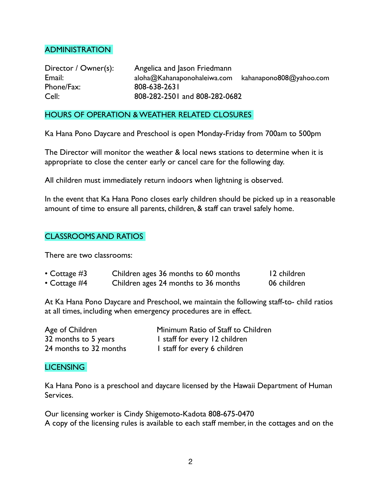#### ADMINISTRATION

Director / Owner(s): Angelica and Jason Friedmann Email: aloha@Kahanaponohaleiwa.com kahanapono808@yahoo.com Phone/Fax: 808-638-2631 Cell: 808-282-2501 and 808-282-0682

#### HOURS OF OPERATION & WEATHER RELATED CLOSURES

Ka Hana Pono Daycare and Preschool is open Monday-Friday from 700am to 500pm

The Director will monitor the weather & local news stations to determine when it is appropriate to close the center early or cancel care for the following day.

All children must immediately return indoors when lightning is observed.

In the event that Ka Hana Pono closes early children should be picked up in a reasonable amount of time to ensure all parents, children, & staff can travel safely home.

## CLASSROOMS AND RATIOS

There are two classrooms:

| • Cottage $#3$ | Children ages 36 months to 60 months | 12 children |
|----------------|--------------------------------------|-------------|
| • Cottage $#4$ | Children ages 24 months to 36 months | 06 children |

At Ka Hana Pono Daycare and Preschool, we maintain the following staff-to- child ratios at all times, including when emergency procedures are in effect.

| Age of Children        | Minimum Ratio of Staff to Children |
|------------------------|------------------------------------|
| 32 months to 5 years   | I staff for every 12 children      |
| 24 months to 32 months | I staff for every 6 children       |

#### LICENSING

Ka Hana Pono is a preschool and daycare licensed by the Hawaii Department of Human Services.

Our licensing worker is Cindy Shigemoto-Kadota 808-675-0470 A copy of the licensing rules is available to each staff member, in the cottages and on the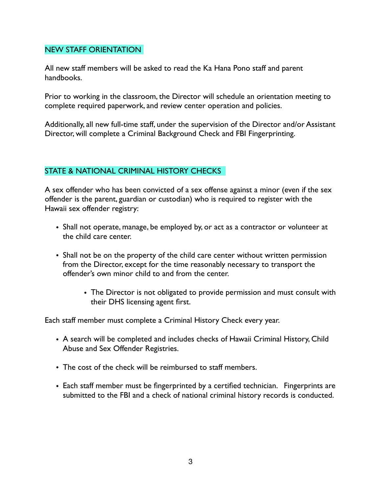#### NEW STAFF ORIENTATION

All new staff members will be asked to read the Ka Hana Pono staff and parent handbooks.

Prior to working in the classroom, the Director will schedule an orientation meeting to complete required paperwork, and review center operation and policies.

Additionally, all new full-time staff, under the supervision of the Director and/or Assistant Director, will complete a Criminal Background Check and FBI Fingerprinting.

## STATE & NATIONAL CRIMINAL HISTORY CHECKS

A sex offender who has been convicted of a sex offense against a minor (even if the sex offender is the parent, guardian or custodian) who is required to register with the Hawaii sex offender registry:

- Shall not operate, manage, be employed by, or act as a contractor or volunteer at the child care center.
- Shall not be on the property of the child care center without written permission from the Director, except for the time reasonably necessary to transport the offender's own minor child to and from the center.
	- The Director is not obligated to provide permission and must consult with their DHS licensing agent first.

Each staff member must complete a Criminal History Check every year.

- A search will be completed and includes checks of Hawaii Criminal History, Child Abuse and Sex Offender Registries.
- The cost of the check will be reimbursed to staff members.
- Each staff member must be fingerprinted by a certified technician. Fingerprints are submitted to the FBI and a check of national criminal history records is conducted.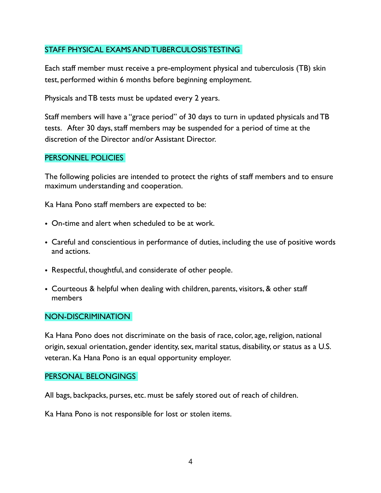# STAFF PHYSICAL EXAMS AND TUBERCULOSIS TESTING

Each staff member must receive a pre-employment physical and tuberculosis (TB) skin test, performed within 6 months before beginning employment.

Physicals and TB tests must be updated every 2 years.

Staff members will have a "grace period" of 30 days to turn in updated physicals and TB tests. After 30 days, staff members may be suspended for a period of time at the discretion of the Director and/or Assistant Director.

#### PERSONNEL POLICIES

The following policies are intended to protect the rights of staff members and to ensure maximum understanding and cooperation.

Ka Hana Pono staff members are expected to be:

- On-time and alert when scheduled to be at work.
- Careful and conscientious in performance of duties, including the use of positive words and actions.
- Respectful, thoughtful, and considerate of other people.
- Courteous & helpful when dealing with children, parents, visitors, & other staff members

#### NON-DISCRIMINATION

Ka Hana Pono does not discriminate on the basis of race, color, age, religion, national origin, sexual orientation, gender identity, sex, marital status, disability, or status as a U.S. veteran. Ka Hana Pono is an equal opportunity employer.

#### PERSONAL BELONGINGS

All bags, backpacks, purses, etc. must be safely stored out of reach of children.

Ka Hana Pono is not responsible for lost or stolen items.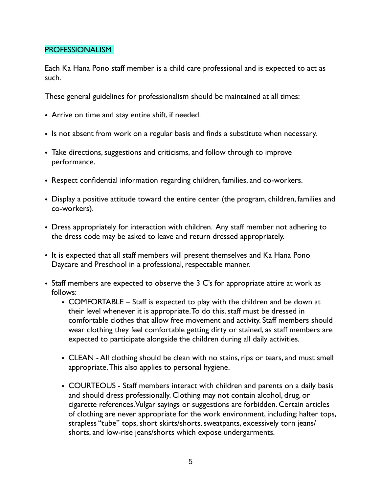#### PROFESSIONALISM

Each Ka Hana Pono staff member is a child care professional and is expected to act as such.

These general guidelines for professionalism should be maintained at all times:

- Arrive on time and stay entire shift, if needed.
- Is not absent from work on a regular basis and finds a substitute when necessary.
- Take directions, suggestions and criticisms, and follow through to improve performance.
- Respect confidential information regarding children, families, and co-workers.
- Display a positive attitude toward the entire center (the program, children, families and co-workers).
- Dress appropriately for interaction with children. Any staff member not adhering to the dress code may be asked to leave and return dressed appropriately.
- It is expected that all staff members will present themselves and Ka Hana Pono Daycare and Preschool in a professional, respectable manner.
- Staff members are expected to observe the 3 C's for appropriate attire at work as follows:
	- COMFORTABLE Staff is expected to play with the children and be down at their level whenever it is appropriate. To do this, staff must be dressed in comfortable clothes that allow free movement and activity. Staff members should wear clothing they feel comfortable getting dirty or stained, as staff members are expected to participate alongside the children during all daily activities.
	- CLEAN All clothing should be clean with no stains, rips or tears, and must smell appropriate. This also applies to personal hygiene.
	- COURTEOUS Staff members interact with children and parents on a daily basis and should dress professionally. Clothing may not contain alcohol, drug, or cigarette references. Vulgar sayings or suggestions are forbidden. Certain articles of clothing are never appropriate for the work environment, including: halter tops, strapless "tube" tops, short skirts/shorts, sweatpants, excessively torn jeans/ shorts, and low-rise jeans/shorts which expose undergarments.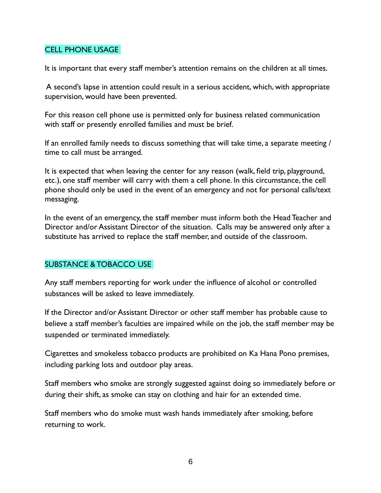## CELL PHONE USAGE

It is important that every staff member's attention remains on the children at all times.

 A second's lapse in attention could result in a serious accident, which, with appropriate supervision, would have been prevented.

For this reason cell phone use is permitted only for business related communication with staff or presently enrolled families and must be brief.

If an enrolled family needs to discuss something that will take time, a separate meeting / time to call must be arranged.

It is expected that when leaving the center for any reason (walk, field trip, playground, etc.), one staff member will carry with them a cell phone. In this circumstance, the cell phone should only be used in the event of an emergency and not for personal calls/text messaging.

In the event of an emergency, the staff member must inform both the Head Teacher and Director and/or Assistant Director of the situation. Calls may be answered only after a substitute has arrived to replace the staff member, and outside of the classroom.

# SUBSTANCE & TOBACCO USE

Any staff members reporting for work under the influence of alcohol or controlled substances will be asked to leave immediately.

If the Director and/or Assistant Director or other staff member has probable cause to believe a staff member's faculties are impaired while on the job, the staff member may be suspended or terminated immediately.

Cigarettes and smokeless tobacco products are prohibited on Ka Hana Pono premises, including parking lots and outdoor play areas.

Staff members who smoke are strongly suggested against doing so immediately before or during their shift, as smoke can stay on clothing and hair for an extended time.

Staff members who do smoke must wash hands immediately after smoking, before returning to work.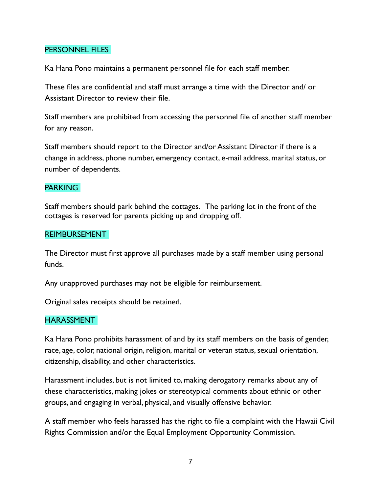#### PERSONNEL FILES

Ka Hana Pono maintains a permanent personnel file for each staff member.

These files are confidential and staff must arrange a time with the Director and/ or Assistant Director to review their file.

Staff members are prohibited from accessing the personnel file of another staff member for any reason.

Staff members should report to the Director and/or Assistant Director if there is a change in address, phone number, emergency contact, e-mail address, marital status, or number of dependents.

## PARKING

Staff members should park behind the cottages. The parking lot in the front of the cottages is reserved for parents picking up and dropping off.

#### REIMBURSEMENT

The Director must first approve all purchases made by a staff member using personal funds.

Any unapproved purchases may not be eligible for reimbursement.

Original sales receipts should be retained.

## **HARASSMENT**

Ka Hana Pono prohibits harassment of and by its staff members on the basis of gender, race, age, color, national origin, religion, marital or veteran status, sexual orientation, citizenship, disability, and other characteristics.

Harassment includes, but is not limited to, making derogatory remarks about any of these characteristics, making jokes or stereotypical comments about ethnic or other groups, and engaging in verbal, physical, and visually offensive behavior.

A staff member who feels harassed has the right to file a complaint with the Hawaii Civil Rights Commission and/or the Equal Employment Opportunity Commission.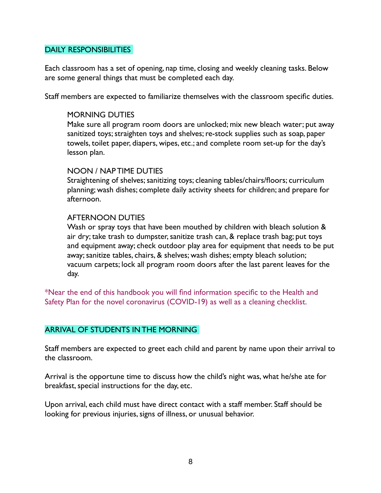#### DAILY RESPONSIBILITIES

Each classroom has a set of opening, nap time, closing and weekly cleaning tasks. Below are some general things that must be completed each day.

Staff members are expected to familiarize themselves with the classroom specific duties.

#### MORNING DUTIES

Make sure all program room doors are unlocked; mix new bleach water; put away sanitized toys; straighten toys and shelves; re-stock supplies such as soap, paper towels, toilet paper, diapers, wipes, etc.; and complete room set-up for the day's lesson plan.

#### NOON / NAP TIME DUTIES

Straightening of shelves; sanitizing toys; cleaning tables/chairs/floors; curriculum planning; wash dishes; complete daily activity sheets for children; and prepare for afternoon.

#### AFTERNOON DUTIES

Wash or spray toys that have been mouthed by children with bleach solution & air dry; take trash to dumpster, sanitize trash can, & replace trash bag; put toys and equipment away; check outdoor play area for equipment that needs to be put away; sanitize tables, chairs, & shelves; wash dishes; empty bleach solution; vacuum carpets; lock all program room doors after the last parent leaves for the day.

\*Near the end of this handbook you will find information specific to the Health and Safety Plan for the novel coronavirus (COVID-19) as well as a cleaning checklist.

## ARRIVAL OF STUDENTS IN THE MORNING

Staff members are expected to greet each child and parent by name upon their arrival to the classroom.

Arrival is the opportune time to discuss how the child's night was, what he/she ate for breakfast, special instructions for the day, etc.

Upon arrival, each child must have direct contact with a staff member. Staff should be looking for previous injuries, signs of illness, or unusual behavior.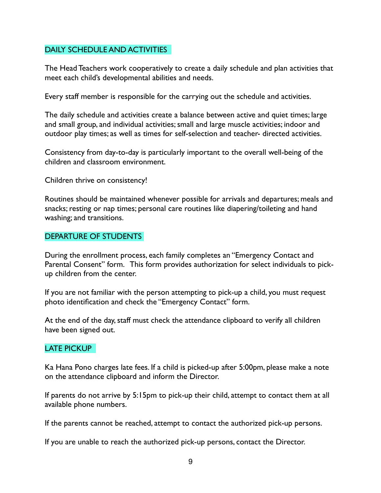## DAILY SCHEDULE AND ACTIVITIES

The Head Teachers work cooperatively to create a daily schedule and plan activities that meet each child's developmental abilities and needs.

Every staff member is responsible for the carrying out the schedule and activities.

The daily schedule and activities create a balance between active and quiet times; large and small group, and individual activities; small and large muscle activities; indoor and outdoor play times; as well as times for self-selection and teacher- directed activities.

Consistency from day-to-day is particularly important to the overall well-being of the children and classroom environment.

Children thrive on consistency!

Routines should be maintained whenever possible for arrivals and departures; meals and snacks; resting or nap times; personal care routines like diapering/toileting and hand washing; and transitions.

## DEPARTURE OF STUDENTS

During the enrollment process, each family completes an "Emergency Contact and Parental Consent" form. This form provides authorization for select individuals to pickup children from the center.

If you are not familiar with the person attempting to pick-up a child, you must request photo identification and check the "Emergency Contact" form.

At the end of the day, staff must check the attendance clipboard to verify all children have been signed out.

## LATE PICKUP

Ka Hana Pono charges late fees. If a child is picked-up after 5:00pm, please make a note on the attendance clipboard and inform the Director.

If parents do not arrive by 5:15pm to pick-up their child, attempt to contact them at all available phone numbers.

If the parents cannot be reached, attempt to contact the authorized pick-up persons.

If you are unable to reach the authorized pick-up persons, contact the Director.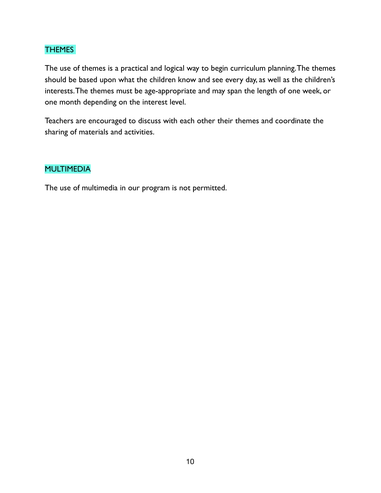## THEMES

The use of themes is a practical and logical way to begin curriculum planning. The themes should be based upon what the children know and see every day, as well as the children's interests. The themes must be age-appropriate and may span the length of one week, or one month depending on the interest level.

Teachers are encouraged to discuss with each other their themes and coordinate the sharing of materials and activities.

# MULTIMEDIA

The use of multimedia in our program is not permitted.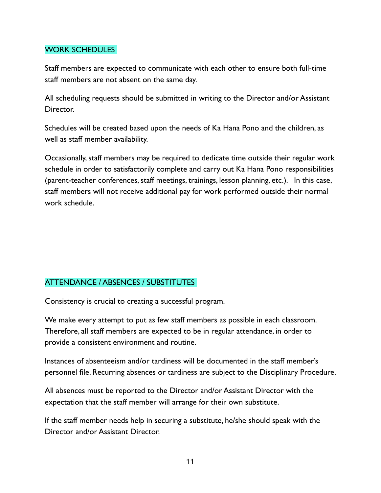# WORK SCHEDULES

Staff members are expected to communicate with each other to ensure both full-time staff members are not absent on the same day.

All scheduling requests should be submitted in writing to the Director and/or Assistant Director.

Schedules will be created based upon the needs of Ka Hana Pono and the children, as well as staff member availability.

Occasionally, staff members may be required to dedicate time outside their regular work schedule in order to satisfactorily complete and carry out Ka Hana Pono responsibilities (parent-teacher conferences, staff meetings, trainings, lesson planning, etc.). In this case, staff members will not receive additional pay for work performed outside their normal work schedule.

# ATTENDANCE / ABSENCES / SUBSTITUTES

Consistency is crucial to creating a successful program.

We make every attempt to put as few staff members as possible in each classroom. Therefore, all staff members are expected to be in regular attendance, in order to provide a consistent environment and routine.

Instances of absenteeism and/or tardiness will be documented in the staff member's personnel file. Recurring absences or tardiness are subject to the Disciplinary Procedure.

All absences must be reported to the Director and/or Assistant Director with the expectation that the staff member will arrange for their own substitute.

If the staff member needs help in securing a substitute, he/she should speak with the Director and/or Assistant Director.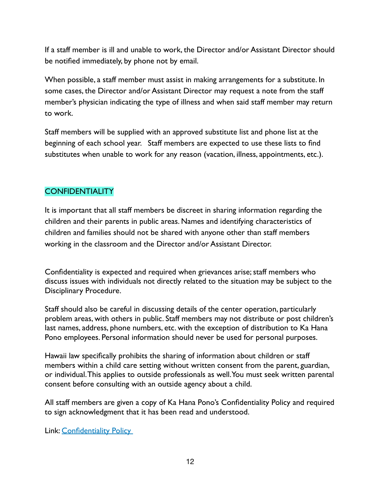If a staff member is ill and unable to work, the Director and/or Assistant Director should be notified immediately, by phone not by email.

When possible, a staff member must assist in making arrangements for a substitute. In some cases, the Director and/or Assistant Director may request a note from the staff member's physician indicating the type of illness and when said staff member may return to work.

Staff members will be supplied with an approved substitute list and phone list at the beginning of each school year. Staff members are expected to use these lists to find substitutes when unable to work for any reason (vacation, illness, appointments, etc.).

# **CONFIDENTIALITY**

It is important that all staff members be discreet in sharing information regarding the children and their parents in public areas. Names and identifying characteristics of children and families should not be shared with anyone other than staff members working in the classroom and the Director and/or Assistant Director.

Confidentiality is expected and required when grievances arise; staff members who discuss issues with individuals not directly related to the situation may be subject to the Disciplinary Procedure.

Staff should also be careful in discussing details of the center operation, particularly problem areas, with others in public. Staff members may not distribute or post children's last names, address, phone numbers, etc. with the exception of distribution to Ka Hana Pono employees. Personal information should never be used for personal purposes.

Hawaii law specifically prohibits the sharing of information about children or staff members within a child care setting without written consent from the parent, guardian, or individual. This applies to outside professionals as well. You must seek written parental consent before consulting with an outside agency about a child.

All staff members are given a copy of Ka Hana Pono's Confidentiality Policy and required to sign acknowledgment that it has been read and understood.

Link: Confidentiality Policy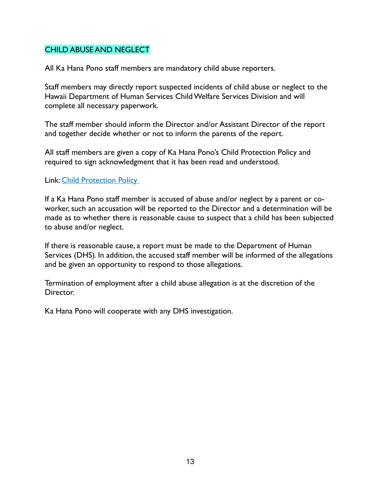#### CHILD ABUSE AND NEGLECT

All Ka Hana Pono staff members are mandatory child abuse reporters.

Staff members may directly report suspected incidents of child abuse or neglect to the Hawaii Department of Human Services Child Welfare Services Division and will complete all necessary paperwork.

The staff member should inform the Director and/or Assistant Director of the report and together decide whether or not to inform the parents of the report.

All staff members are given a copy of Ka Hana Pono's Child Protection Policy and required to sign acknowledgment that it has been read and understood.

Link: Child Protection Policy

If a Ka Hana Pono staff member is accused of abuse and/or neglect by a parent or coworker, such an accusation will be reported to the Director and a determination will be made as to whether there is reasonable cause to suspect that a child has been subjected to abuse and/or neglect.

If there is reasonable cause, a report must be made to the Department of Human Services (DHS). In addition, the accused staff member will be informed of the allegations and be given an opportunity to respond to those allegations.

Termination of employment after a child abuse allegation is at the discretion of the Director.

Ka Hana Pono will cooperate with any DHS investigation.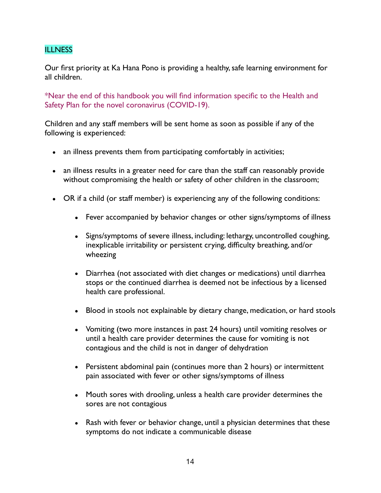# **ILLNESS**

Our first priority at Ka Hana Pono is providing a healthy, safe learning environment for all children.

\*Near the end of this handbook you will find information specific to the Health and Safety Plan for the novel coronavirus (COVID-19).

Children and any staff members will be sent home as soon as possible if any of the following is experienced:

- an illness prevents them from participating comfortably in activities;
- an illness results in a greater need for care than the staff can reasonably provide without compromising the health or safety of other children in the classroom;
- OR if a child (or staff member) is experiencing any of the following conditions:
	- Fever accompanied by behavior changes or other signs/symptoms of illness
	- Signs/symptoms of severe illness, including: lethargy, uncontrolled coughing, inexplicable irritability or persistent crying, difficulty breathing, and/or wheezing
	- Diarrhea (not associated with diet changes or medications) until diarrhea stops or the continued diarrhea is deemed not be infectious by a licensed health care professional.
	- Blood in stools not explainable by dietary change, medication, or hard stools
	- Vomiting (two more instances in past 24 hours) until vomiting resolves or until a health care provider determines the cause for vomiting is not contagious and the child is not in danger of dehydration
	- Persistent abdominal pain (continues more than 2 hours) or intermittent pain associated with fever or other signs/symptoms of illness
	- Mouth sores with drooling, unless a health care provider determines the sores are not contagious
	- Rash with fever or behavior change, until a physician determines that these symptoms do not indicate a communicable disease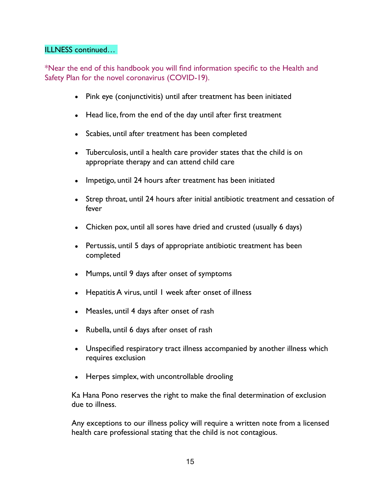#### ILLNESS continued…

\*Near the end of this handbook you will find information specific to the Health and Safety Plan for the novel coronavirus (COVID-19).

- Pink eye (conjunctivitis) until after treatment has been initiated
- Head lice, from the end of the day until after first treatment
- Scabies, until after treatment has been completed
- Tuberculosis, until a health care provider states that the child is on appropriate therapy and can attend child care
- Impetigo, until 24 hours after treatment has been initiated
- Strep throat, until 24 hours after initial antibiotic treatment and cessation of fever
- Chicken pox, until all sores have dried and crusted (usually 6 days)
- Pertussis, until 5 days of appropriate antibiotic treatment has been completed
- Mumps, until 9 days after onset of symptoms
- Hepatitis A virus, until 1 week after onset of illness
- Measles, until 4 days after onset of rash
- Rubella, until 6 days after onset of rash
- Unspecified respiratory tract illness accompanied by another illness which requires exclusion
- Herpes simplex, with uncontrollable drooling

Ka Hana Pono reserves the right to make the final determination of exclusion due to illness.

Any exceptions to our illness policy will require a written note from a licensed health care professional stating that the child is not contagious.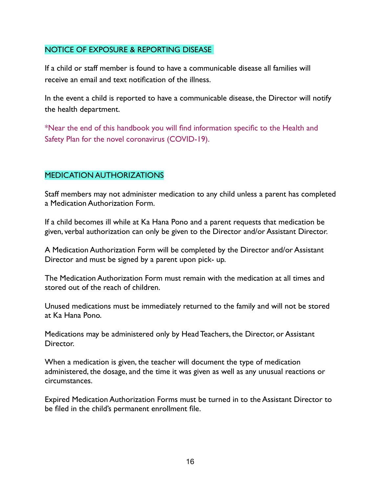## NOTICE OF EXPOSURE & REPORTING DISEASE

If a child or staff member is found to have a communicable disease all families will receive an email and text notification of the illness.

In the event a child is reported to have a communicable disease, the Director will notify the health department.

\*Near the end of this handbook you will find information specific to the Health and Safety Plan for the novel coronavirus (COVID-19).

## MEDICATION AUTHORIZATIONS

Staff members may not administer medication to any child unless a parent has completed a Medication Authorization Form.

If a child becomes ill while at Ka Hana Pono and a parent requests that medication be given, verbal authorization can only be given to the Director and/or Assistant Director.

A Medication Authorization Form will be completed by the Director and/or Assistant Director and must be signed by a parent upon pick- up.

The Medication Authorization Form must remain with the medication at all times and stored out of the reach of children.

Unused medications must be immediately returned to the family and will not be stored at Ka Hana Pono.

Medications may be administered only by Head Teachers, the Director, or Assistant Director.

When a medication is given, the teacher will document the type of medication administered, the dosage, and the time it was given as well as any unusual reactions or circumstances.

Expired Medication Authorization Forms must be turned in to the Assistant Director to be filed in the child's permanent enrollment file.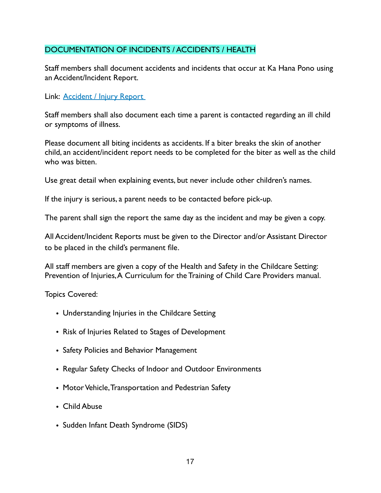# DOCUMENTATION OF INCIDENTS / ACCIDENTS / HEALTH

Staff members shall document accidents and incidents that occur at Ka Hana Pono using an Accident/Incident Report.

Link: Accident / Injury Report

Staff members shall also document each time a parent is contacted regarding an ill child or symptoms of illness.

Please document all biting incidents as accidents. If a biter breaks the skin of another child, an accident/incident report needs to be completed for the biter as well as the child who was bitten.

Use great detail when explaining events, but never include other children's names.

If the injury is serious, a parent needs to be contacted before pick-up.

The parent shall sign the report the same day as the incident and may be given a copy.

All Accident/Incident Reports must be given to the Director and/or Assistant Director to be placed in the child's permanent file.

All staff members are given a copy of the Health and Safety in the Childcare Setting: Prevention of Injuries, A Curriculum for the Training of Child Care Providers manual.

Topics Covered:

- Understanding Injuries in the Childcare Setting
- Risk of Injuries Related to Stages of Development
- Safety Policies and Behavior Management
- Regular Safety Checks of Indoor and Outdoor Environments
- Motor Vehicle, Transportation and Pedestrian Safety
- Child Abuse
- Sudden Infant Death Syndrome (SIDS)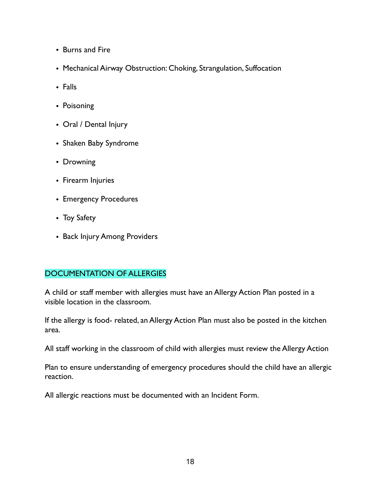- Burns and Fire
- Mechanical Airway Obstruction: Choking, Strangulation, Suffocation
- Falls
- Poisoning
- Oral / Dental Injury
- Shaken Baby Syndrome
- Drowning
- Firearm Injuries
- Emergency Procedures
- Toy Safety
- Back Injury Among Providers

# DOCUMENTATION OF ALLERGIES

A child or staff member with allergies must have an Allergy Action Plan posted in a visible location in the classroom.

If the allergy is food- related, an Allergy Action Plan must also be posted in the kitchen area.

All staff working in the classroom of child with allergies must review the Allergy Action

Plan to ensure understanding of emergency procedures should the child have an allergic reaction.

All allergic reactions must be documented with an Incident Form.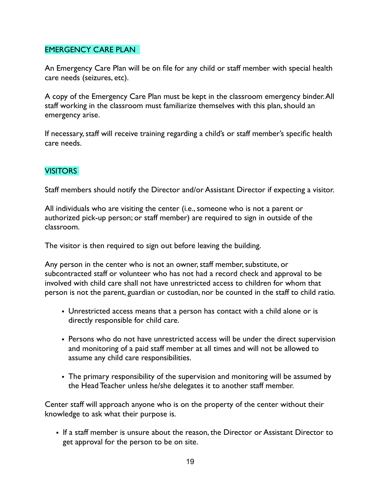# EMERGENCY CARE PLAN

An Emergency Care Plan will be on file for any child or staff member with special health care needs (seizures, etc).

A copy of the Emergency Care Plan must be kept in the classroom emergency binder. All staff working in the classroom must familiarize themselves with this plan, should an emergency arise.

If necessary, staff will receive training regarding a child's or staff member's specific health care needs.

# **VISITORS**

Staff members should notify the Director and/or Assistant Director if expecting a visitor.

All individuals who are visiting the center (i.e., someone who is not a parent or authorized pick-up person; or staff member) are required to sign in outside of the classroom.

The visitor is then required to sign out before leaving the building.

Any person in the center who is not an owner, staff member, substitute, or subcontracted staff or volunteer who has not had a record check and approval to be involved with child care shall not have unrestricted access to children for whom that person is not the parent, guardian or custodian, nor be counted in the staff to child ratio.

- Unrestricted access means that a person has contact with a child alone or is directly responsible for child care.
- Persons who do not have unrestricted access will be under the direct supervision and monitoring of a paid staff member at all times and will not be allowed to assume any child care responsibilities.
- The primary responsibility of the supervision and monitoring will be assumed by the Head Teacher unless he/she delegates it to another staff member.

Center staff will approach anyone who is on the property of the center without their knowledge to ask what their purpose is.

• If a staff member is unsure about the reason, the Director or Assistant Director to get approval for the person to be on site.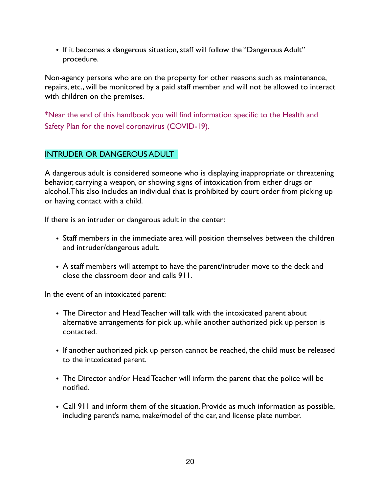• If it becomes a dangerous situation, staff will follow the "Dangerous Adult" procedure.

Non-agency persons who are on the property for other reasons such as maintenance, repairs, etc., will be monitored by a paid staff member and will not be allowed to interact with children on the premises.

\*Near the end of this handbook you will find information specific to the Health and Safety Plan for the novel coronavirus (COVID-19).

# INTRUDER OR DANGEROUS ADULT

A dangerous adult is considered someone who is displaying inappropriate or threatening behavior, carrying a weapon, or showing signs of intoxication from either drugs or alcohol. This also includes an individual that is prohibited by court order from picking up or having contact with a child.

If there is an intruder or dangerous adult in the center:

- Staff members in the immediate area will position themselves between the children and intruder/dangerous adult.
- A staff members will attempt to have the parent/intruder move to the deck and close the classroom door and calls 911.

In the event of an intoxicated parent:

- The Director and Head Teacher will talk with the intoxicated parent about alternative arrangements for pick up, while another authorized pick up person is contacted.
- If another authorized pick up person cannot be reached, the child must be released to the intoxicated parent.
- The Director and/or Head Teacher will inform the parent that the police will be notified.
- Call 911 and inform them of the situation. Provide as much information as possible, including parent's name, make/model of the car, and license plate number.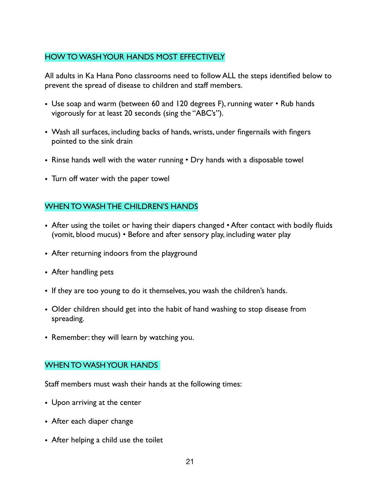# HOW TO WASH YOUR HANDS MOST EFFECTIVELY

All adults in Ka Hana Pono classrooms need to follow ALL the steps identified below to prevent the spread of disease to children and staff members.

- Use soap and warm (between 60 and 120 degrees F), running water Rub hands vigorously for at least 20 seconds (sing the "ABC's").
- Wash all surfaces, including backs of hands, wrists, under fingernails with fingers pointed to the sink drain
- Rinse hands well with the water running Dry hands with a disposable towel
- Turn off water with the paper towel

## WHEN TO WASH THE CHILDREN'S HANDS

- After using the toilet or having their diapers changed After contact with bodily fluids (vomit, blood mucus) • Before and after sensory play, including water play
- After returning indoors from the playground
- After handling pets
- If they are too young to do it themselves, you wash the children's hands.
- Older children should get into the habit of hand washing to stop disease from spreading.
- Remember: they will learn by watching you.

## WHEN TO WASH YOUR HANDS

Staff members must wash their hands at the following times:

- Upon arriving at the center
- After each diaper change
- After helping a child use the toilet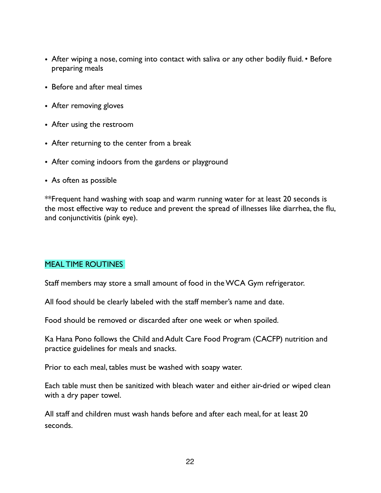- After wiping a nose, coming into contact with saliva or any other bodily fluid. Before preparing meals
- Before and after meal times
- After removing gloves
- After using the restroom
- After returning to the center from a break
- After coming indoors from the gardens or playground
- As often as possible

\*\*Frequent hand washing with soap and warm running water for at least 20 seconds is the most effective way to reduce and prevent the spread of illnesses like diarrhea, the flu, and conjunctivitis (pink eye).

## MEAL TIME ROUTINES

Staff members may store a small amount of food in the WCA Gym refrigerator.

All food should be clearly labeled with the staff member's name and date.

Food should be removed or discarded after one week or when spoiled.

Ka Hana Pono follows the Child and Adult Care Food Program (CACFP) nutrition and practice guidelines for meals and snacks.

Prior to each meal, tables must be washed with soapy water.

Each table must then be sanitized with bleach water and either air-dried or wiped clean with a dry paper towel.

All staff and children must wash hands before and after each meal, for at least 20 seconds.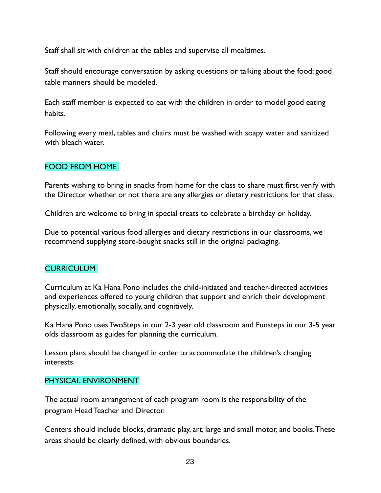Staff shall sit with children at the tables and supervise all mealtimes.

Staff should encourage conversation by asking questions or talking about the food; good table manners should be modeled.

Each staff member is expected to eat with the children in order to model good eating habits.

Following every meal, tables and chairs must be washed with soapy water and sanitized with bleach water.

# FOOD FROM HOME

Parents wishing to bring in snacks from home for the class to share must first verify with the Director whether or not there are any allergies or dietary restrictions for that class.

Children are welcome to bring in special treats to celebrate a birthday or holiday.

Due to potential various food allergies and dietary restrictions in our classrooms, we recommend supplying store-bought snacks still in the original packaging.

## CURRICULUM

Curriculum at Ka Hana Pono includes the child-initiated and teacher-directed activities and experiences offered to young children that support and enrich their development physically, emotionally, socially, and cognitively.

Ka Hana Pono uses TwoSteps in our 2-3 year old classroom and Funsteps in our 3-5 year olds classroom as guides for planning the curriculum.

Lesson plans should be changed in order to accommodate the children's changing interests.

## PHYSICAL ENVIRONMENT

The actual room arrangement of each program room is the responsibility of the program Head Teacher and Director.

Centers should include blocks, dramatic play, art, large and small motor, and books. These areas should be clearly defined, with obvious boundaries.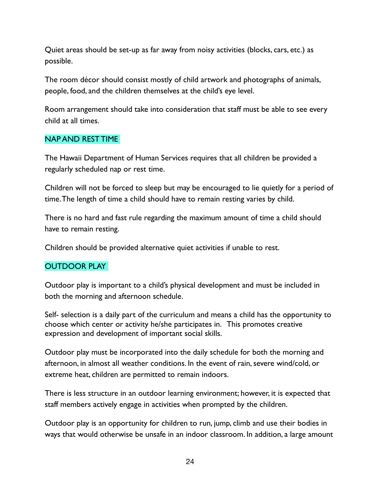Quiet areas should be set-up as far away from noisy activities (blocks, cars, etc.) as possible.

The room décor should consist mostly of child artwork and photographs of animals, people, food, and the children themselves at the child's eye level.

Room arrangement should take into consideration that staff must be able to see every child at all times.

## NAP AND REST TIME

The Hawaii Department of Human Services requires that all children be provided a regularly scheduled nap or rest time.

Children will not be forced to sleep but may be encouraged to lie quietly for a period of time. The length of time a child should have to remain resting varies by child.

There is no hard and fast rule regarding the maximum amount of time a child should have to remain resting.

Children should be provided alternative quiet activities if unable to rest.

## OUTDOOR PLAY

Outdoor play is important to a child's physical development and must be included in both the morning and afternoon schedule.

Self- selection is a daily part of the curriculum and means a child has the opportunity to choose which center or activity he/she participates in. This promotes creative expression and development of important social skills.

Outdoor play must be incorporated into the daily schedule for both the morning and afternoon, in almost all weather conditions. In the event of rain, severe wind/cold, or extreme heat, children are permitted to remain indoors.

There is less structure in an outdoor learning environment; however, it is expected that staff members actively engage in activities when prompted by the children.

Outdoor play is an opportunity for children to run, jump, climb and use their bodies in ways that would otherwise be unsafe in an indoor classroom. In addition, a large amount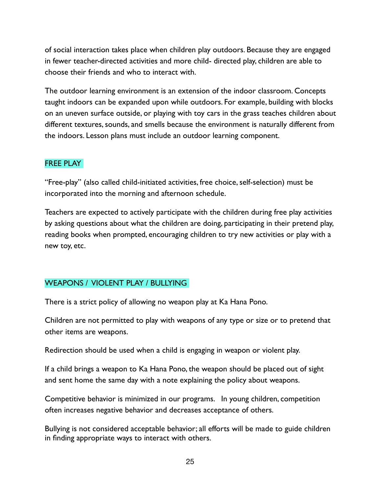of social interaction takes place when children play outdoors. Because they are engaged in fewer teacher-directed activities and more child- directed play, children are able to choose their friends and who to interact with.

The outdoor learning environment is an extension of the indoor classroom. Concepts taught indoors can be expanded upon while outdoors. For example, building with blocks on an uneven surface outside, or playing with toy cars in the grass teaches children about different textures, sounds, and smells because the environment is naturally different from the indoors. Lesson plans must include an outdoor learning component.

# FREE PLAY

"Free-play" (also called child-initiated activities, free choice, self-selection) must be incorporated into the morning and afternoon schedule.

Teachers are expected to actively participate with the children during free play activities by asking questions about what the children are doing, participating in their pretend play, reading books when prompted, encouraging children to try new activities or play with a new toy, etc.

# WEAPONS / VIOLENT PLAY / BULLYING

There is a strict policy of allowing no weapon play at Ka Hana Pono.

Children are not permitted to play with weapons of any type or size or to pretend that other items are weapons.

Redirection should be used when a child is engaging in weapon or violent play.

If a child brings a weapon to Ka Hana Pono, the weapon should be placed out of sight and sent home the same day with a note explaining the policy about weapons.

Competitive behavior is minimized in our programs. In young children, competition often increases negative behavior and decreases acceptance of others.

Bullying is not considered acceptable behavior; all efforts will be made to guide children in finding appropriate ways to interact with others.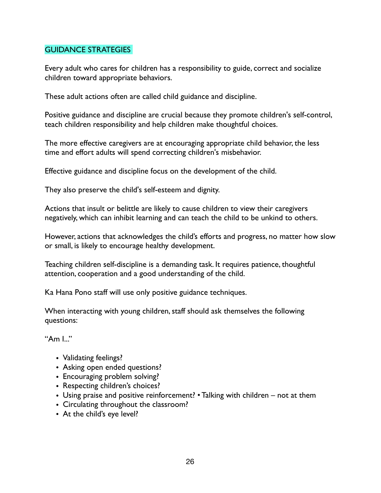## GUIDANCE STRATEGIES

Every adult who cares for children has a responsibility to guide, correct and socialize children toward appropriate behaviors.

These adult actions often are called child guidance and discipline.

Positive guidance and discipline are crucial because they promote children's self-control, teach children responsibility and help children make thoughtful choices.

The more effective caregivers are at encouraging appropriate child behavior, the less time and effort adults will spend correcting children's misbehavior.

Effective guidance and discipline focus on the development of the child.

They also preserve the child's self-esteem and dignity.

Actions that insult or belittle are likely to cause children to view their caregivers negatively, which can inhibit learning and can teach the child to be unkind to others.

However, actions that acknowledges the child's efforts and progress, no matter how slow or small, is likely to encourage healthy development.

Teaching children self-discipline is a demanding task. It requires patience, thoughtful attention, cooperation and a good understanding of the child.

Ka Hana Pono staff will use only positive guidance techniques.

When interacting with young children, staff should ask themselves the following questions:

" $Am 1$ ."

- Validating feelings?
- Asking open ended questions?
- Encouraging problem solving?
- Respecting children's choices?
- Using praise and positive reinforcement? Talking with children not at them
- Circulating throughout the classroom?
- At the child's eye level?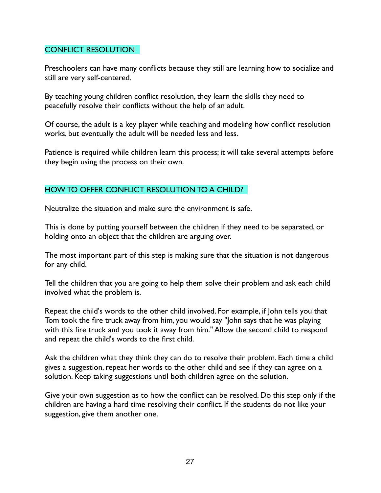# CONFLICT RESOLUTION

Preschoolers can have many conflicts because they still are learning how to socialize and still are very self-centered.

By teaching young children conflict resolution, they learn the skills they need to peacefully resolve their conflicts without the help of an adult.

Of course, the adult is a key player while teaching and modeling how conflict resolution works, but eventually the adult will be needed less and less.

Patience is required while children learn this process; it will take several attempts before they begin using the process on their own.

# HOW TO OFFER CONFLICT RESOLUTION TO A CHILD?

Neutralize the situation and make sure the environment is safe.

This is done by putting yourself between the children if they need to be separated, or holding onto an object that the children are arguing over.

The most important part of this step is making sure that the situation is not dangerous for any child.

Tell the children that you are going to help them solve their problem and ask each child involved what the problem is.

Repeat the child's words to the other child involved. For example, if John tells you that Tom took the fire truck away from him, you would say "John says that he was playing with this fire truck and you took it away from him." Allow the second child to respond and repeat the child's words to the first child.

Ask the children what they think they can do to resolve their problem. Each time a child gives a suggestion, repeat her words to the other child and see if they can agree on a solution. Keep taking suggestions until both children agree on the solution.

Give your own suggestion as to how the conflict can be resolved. Do this step only if the children are having a hard time resolving their conflict. If the students do not like your suggestion, give them another one.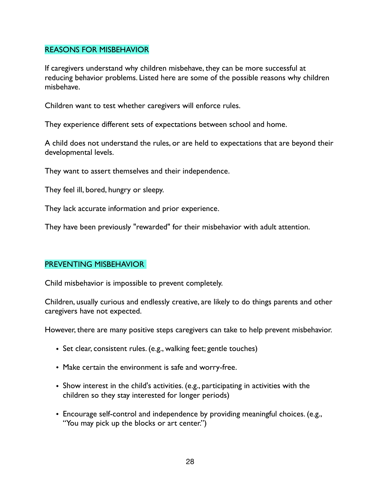#### REASONS FOR MISBEHAVIOR

If caregivers understand why children misbehave, they can be more successful at reducing behavior problems. Listed here are some of the possible reasons why children misbehave.

Children want to test whether caregivers will enforce rules.

They experience different sets of expectations between school and home.

A child does not understand the rules, or are held to expectations that are beyond their developmental levels.

They want to assert themselves and their independence.

They feel ill, bored, hungry or sleepy.

They lack accurate information and prior experience.

They have been previously "rewarded" for their misbehavior with adult attention.

## PREVENTING MISBEHAVIOR

Child misbehavior is impossible to prevent completely.

Children, usually curious and endlessly creative, are likely to do things parents and other caregivers have not expected.

However, there are many positive steps caregivers can take to help prevent misbehavior.

- Set clear, consistent rules. (e.g., walking feet; gentle touches)
- Make certain the environment is safe and worry-free.
- Show interest in the child's activities. (e.g., participating in activities with the children so they stay interested for longer periods)
- Encourage self-control and independence by providing meaningful choices. (e.g., "You may pick up the blocks or art center.")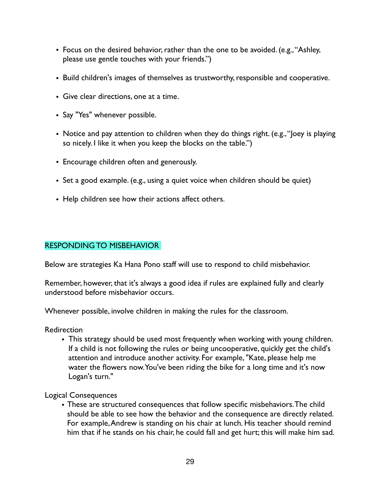- Focus on the desired behavior, rather than the one to be avoided. (e.g., "Ashley, please use gentle touches with your friends.")
- Build children's images of themselves as trustworthy, responsible and cooperative.
- Give clear directions, one at a time.
- Say "Yes" whenever possible.
- Notice and pay attention to children when they do things right. (e.g., "loey is playing so nicely. I like it when you keep the blocks on the table.")
- Encourage children often and generously.
- Set a good example. (e.g., using a quiet voice when children should be quiet)
- Help children see how their actions affect others.

## RESPONDING TO MISBEHAVIOR

Below are strategies Ka Hana Pono staff will use to respond to child misbehavior.

Remember, however, that it's always a good idea if rules are explained fully and clearly understood before misbehavior occurs.

Whenever possible, involve children in making the rules for the classroom.

**Redirection** 

• This strategy should be used most frequently when working with young children. If a child is not following the rules or being uncooperative, quickly get the child's attention and introduce another activity. For example, "Kate, please help me water the flowers now. You've been riding the bike for a long time and it's now Logan's turn."

Logical Consequences

• These are structured consequences that follow specific misbehaviors. The child should be able to see how the behavior and the consequence are directly related. For example, Andrew is standing on his chair at lunch. His teacher should remind him that if he stands on his chair, he could fall and get hurt; this will make him sad.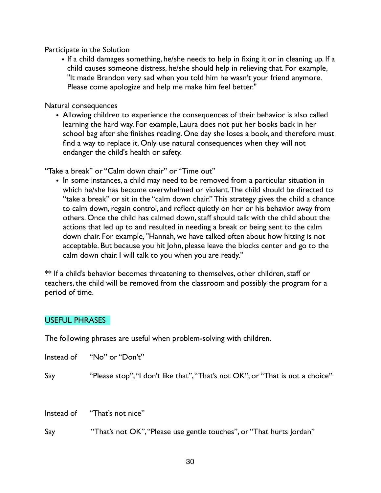Participate in the Solution

• If a child damages something, he/she needs to help in fixing it or in cleaning up. If a child causes someone distress, he/she should help in relieving that. For example, "It made Brandon very sad when you told him he wasn't your friend anymore. Please come apologize and help me make him feel better."

Natural consequences

• Allowing children to experience the consequences of their behavior is also called learning the hard way. For example, Laura does not put her books back in her school bag after she finishes reading. One day she loses a book, and therefore must find a way to replace it. Only use natural consequences when they will not endanger the child's health or safety.

"Take a break" or "Calm down chair" or "Time out"

• In some instances, a child may need to be removed from a particular situation in which he/she has become overwhelmed or violent. The child should be directed to "take a break" or sit in the "calm down chair." This strategy gives the child a chance to calm down, regain control, and reflect quietly on her or his behavior away from others. Once the child has calmed down, staff should talk with the child about the actions that led up to and resulted in needing a break or being sent to the calm down chair. For example, "Hannah, we have talked often about how hitting is not acceptable. But because you hit John, please leave the blocks center and go to the calm down chair. I will talk to you when you are ready."

\*\* If a child's behavior becomes threatening to themselves, other children, staff or teachers, the child will be removed from the classroom and possibly the program for a period of time.

# USEFUL PHRASES

The following phrases are useful when problem-solving with children.

Instead of "No" or "Don't"

Say "Please stop", "I don't like that", "That's not OK", or "That is not a choice"

Instead of "That's not nice"

Say "That's not OK", "Please use gentle touches", or "That hurts Jordan"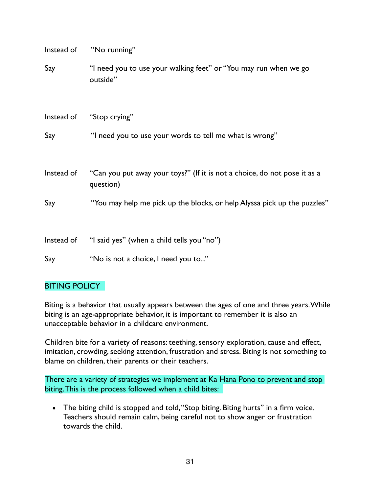| Instead of | "No running"                                                                           |
|------------|----------------------------------------------------------------------------------------|
| Say        | "I need you to use your walking feet" or "You may run when we go<br>outside"           |
|            | Instead of "Stop crying"                                                               |
| Say        | "I need you to use your words to tell me what is wrong"                                |
| Instead of | "Can you put away your toys?" (If it is not a choice, do not pose it as a<br>question) |
| Say        | "You may help me pick up the blocks, or help Alyssa pick up the puzzles"               |
|            | Instead of "I said yes" (when a child tells you "no")                                  |
| Say        | "No is not a choice, I need you to"                                                    |

## **BITING POLICY**

Biting is a behavior that usually appears between the ages of one and three years. While biting is an age-appropriate behavior, it is important to remember it is also an unacceptable behavior in a childcare environment.

Children bite for a variety of reasons: teething, sensory exploration, cause and effect, imitation, crowding, seeking attention, frustration and stress. Biting is not something to blame on children, their parents or their teachers.

There are a variety of strategies we implement at Ka Hana Pono to prevent and stop biting. This is the process followed when a child bites:

• The biting child is stopped and told, "Stop biting. Biting hurts" in a firm voice. Teachers should remain calm, being careful not to show anger or frustration towards the child.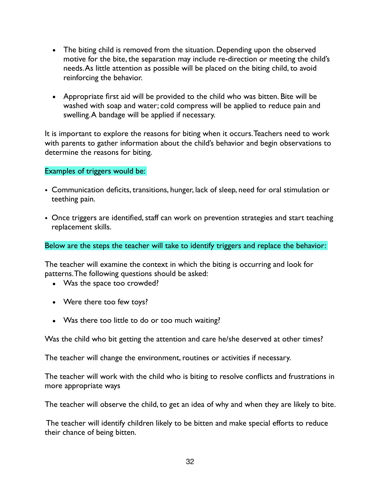- The biting child is removed from the situation. Depending upon the observed motive for the bite, the separation may include re-direction or meeting the child's needs. As little attention as possible will be placed on the biting child, to avoid reinforcing the behavior.
- Appropriate first aid will be provided to the child who was bitten. Bite will be washed with soap and water; cold compress will be applied to reduce pain and swelling. A bandage will be applied if necessary.

It is important to explore the reasons for biting when it occurs. Teachers need to work with parents to gather information about the child's behavior and begin observations to determine the reasons for biting.

Examples of triggers would be:

- Communication deficits, transitions, hunger, lack of sleep, need for oral stimulation or teething pain.
- Once triggers are identified, staff can work on prevention strategies and start teaching replacement skills.

Below are the steps the teacher will take to identify triggers and replace the behavior:

The teacher will examine the context in which the biting is occurring and look for patterns. The following questions should be asked:

- Was the space too crowded?
- Were there too few toys?
- Was there too little to do or too much waiting?

Was the child who bit getting the attention and care he/she deserved at other times?

The teacher will change the environment, routines or activities if necessary.

The teacher will work with the child who is biting to resolve conflicts and frustrations in more appropriate ways

The teacher will observe the child, to get an idea of why and when they are likely to bite.

 The teacher will identify children likely to be bitten and make special efforts to reduce their chance of being bitten.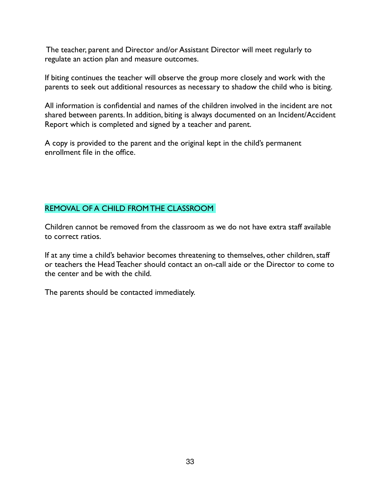The teacher, parent and Director and/or Assistant Director will meet regularly to regulate an action plan and measure outcomes.

If biting continues the teacher will observe the group more closely and work with the parents to seek out additional resources as necessary to shadow the child who is biting.

All information is confidential and names of the children involved in the incident are not shared between parents. In addition, biting is always documented on an Incident/Accident Report which is completed and signed by a teacher and parent.

A copy is provided to the parent and the original kept in the child's permanent enrollment file in the office.

# REMOVAL OF A CHILD FROM THE CLASSROOM

Children cannot be removed from the classroom as we do not have extra staff available to correct ratios.

If at any time a child's behavior becomes threatening to themselves, other children, staff or teachers the Head Teacher should contact an on-call aide or the Director to come to the center and be with the child.

The parents should be contacted immediately.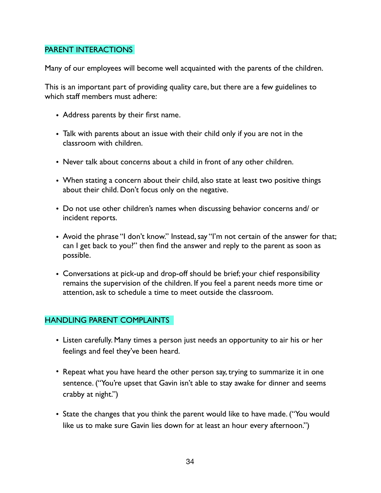#### PARENT INTERACTIONS

Many of our employees will become well acquainted with the parents of the children.

This is an important part of providing quality care, but there are a few guidelines to which staff members must adhere:

- Address parents by their first name.
- Talk with parents about an issue with their child only if you are not in the classroom with children.
- Never talk about concerns about a child in front of any other children.
- When stating a concern about their child, also state at least two positive things about their child. Don't focus only on the negative.
- Do not use other children's names when discussing behavior concerns and/ or incident reports.
- Avoid the phrase "I don't know." Instead, say "I'm not certain of the answer for that; can I get back to you?" then find the answer and reply to the parent as soon as possible.
- Conversations at pick-up and drop-off should be brief; your chief responsibility remains the supervision of the children. If you feel a parent needs more time or attention, ask to schedule a time to meet outside the classroom.

## HANDLING PARENT COMPLAINTS

- Listen carefully. Many times a person just needs an opportunity to air his or her feelings and feel they've been heard.
- Repeat what you have heard the other person say, trying to summarize it in one sentence. ("You're upset that Gavin isn't able to stay awake for dinner and seems crabby at night.")
- State the changes that you think the parent would like to have made. ("You would like us to make sure Gavin lies down for at least an hour every afternoon.")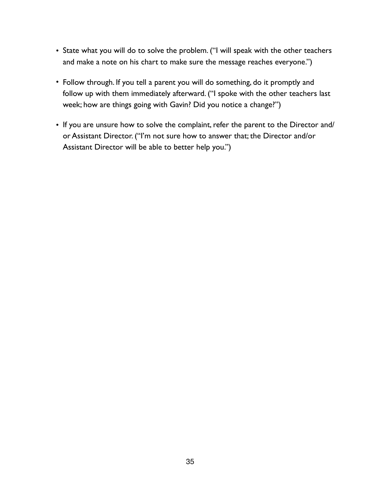- State what you will do to solve the problem. ("I will speak with the other teachers and make a note on his chart to make sure the message reaches everyone.")
- Follow through. If you tell a parent you will do something, do it promptly and follow up with them immediately afterward. ("I spoke with the other teachers last week; how are things going with Gavin? Did you notice a change?")
- If you are unsure how to solve the complaint, refer the parent to the Director and/ or Assistant Director. ("I'm not sure how to answer that; the Director and/or Assistant Director will be able to better help you.")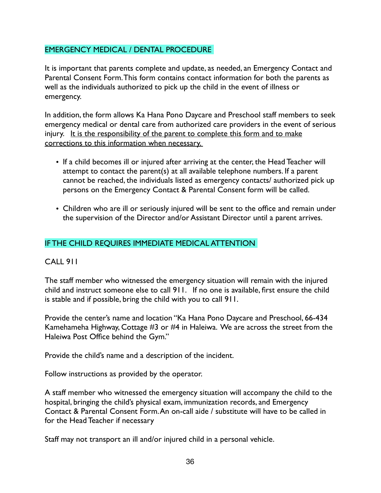# EMERGENCY MEDICAL / DENTAL PROCEDURE

It is important that parents complete and update, as needed, an Emergency Contact and Parental Consent Form. This form contains contact information for both the parents as well as the individuals authorized to pick up the child in the event of illness or emergency.

In addition, the form allows Ka Hana Pono Daycare and Preschool staff members to seek emergency medical or dental care from authorized care providers in the event of serious injury. It is the responsibility of the parent to complete this form and to make corrections to this information when necessary.

- If a child becomes ill or injured after arriving at the center, the Head Teacher will attempt to contact the parent(s) at all available telephone numbers. If a parent cannot be reached, the individuals listed as emergency contacts/ authorized pick up persons on the Emergency Contact & Parental Consent form will be called.
- Children who are ill or seriously injured will be sent to the office and remain under the supervision of the Director and/or Assistant Director until a parent arrives.

# IF THE CHILD REQUIRES IMMEDIATE MEDICAL ATTENTION

## CALL 911

The staff member who witnessed the emergency situation will remain with the injured child and instruct someone else to call 911. If no one is available, first ensure the child is stable and if possible, bring the child with you to call 911.

Provide the center's name and location "Ka Hana Pono Daycare and Preschool, 66-434 Kamehameha Highway, Cottage #3 or #4 in Haleiwa. We are across the street from the Haleiwa Post Office behind the Gym."

Provide the child's name and a description of the incident.

Follow instructions as provided by the operator.

A staff member who witnessed the emergency situation will accompany the child to the hospital, bringing the child's physical exam, immunization records, and Emergency Contact & Parental Consent Form. An on-call aide / substitute will have to be called in for the Head Teacher if necessary

Staff may not transport an ill and/or injured child in a personal vehicle.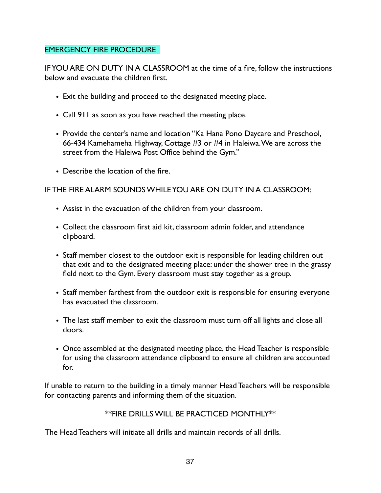# EMERGENCY FIRE PROCEDURE

IF YOU ARE ON DUTY IN A CLASSROOM at the time of a fire, follow the instructions below and evacuate the children first.

- Exit the building and proceed to the designated meeting place.
- Call 911 as soon as you have reached the meeting place.
- Provide the center's name and location "Ka Hana Pono Daycare and Preschool, 66-434 Kamehameha Highway, Cottage #3 or #4 in Haleiwa. We are across the street from the Haleiwa Post Office behind the Gym."
- Describe the location of the fire.

# IF THE FIRE ALARM SOUNDS WHILE YOU ARE ON DUTY IN A CLASSROOM:

- Assist in the evacuation of the children from your classroom.
- Collect the classroom first aid kit, classroom admin folder, and attendance clipboard.
- Staff member closest to the outdoor exit is responsible for leading children out that exit and to the designated meeting place: under the shower tree in the grassy field next to the Gym. Every classroom must stay together as a group.
- Staff member farthest from the outdoor exit is responsible for ensuring everyone has evacuated the classroom.
- The last staff member to exit the classroom must turn off all lights and close all doors.
- Once assembled at the designated meeting place, the Head Teacher is responsible for using the classroom attendance clipboard to ensure all children are accounted for.

If unable to return to the building in a timely manner Head Teachers will be responsible for contacting parents and informing them of the situation.

# \*\*FIRE DRILLS WILL BE PRACTICED MONTHLY\*\*

The Head Teachers will initiate all drills and maintain records of all drills.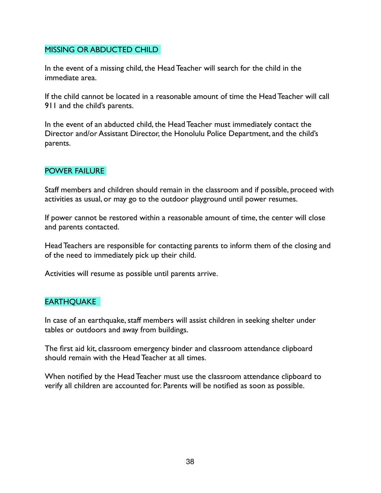## MISSING OR ABDUCTED CHILD

In the event of a missing child, the Head Teacher will search for the child in the immediate area.

If the child cannot be located in a reasonable amount of time the Head Teacher will call 911 and the child's parents.

In the event of an abducted child, the Head Teacher must immediately contact the Director and/or Assistant Director, the Honolulu Police Department, and the child's parents.

#### POWER FAILURE

Staff members and children should remain in the classroom and if possible, proceed with activities as usual, or may go to the outdoor playground until power resumes.

If power cannot be restored within a reasonable amount of time, the center will close and parents contacted.

Head Teachers are responsible for contacting parents to inform them of the closing and of the need to immediately pick up their child.

Activities will resume as possible until parents arrive.

## **EARTHQUAKE**

In case of an earthquake, staff members will assist children in seeking shelter under tables or outdoors and away from buildings.

The first aid kit, classroom emergency binder and classroom attendance clipboard should remain with the Head Teacher at all times.

When notified by the Head Teacher must use the classroom attendance clipboard to verify all children are accounted for. Parents will be notified as soon as possible.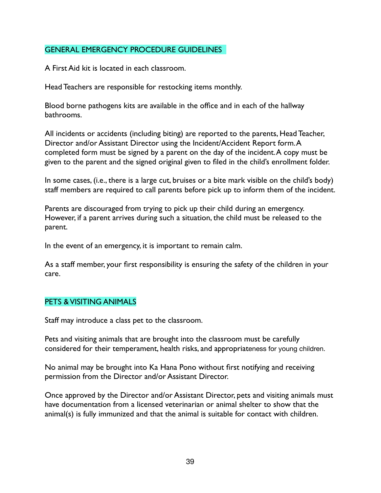## GENERAL EMERGENCY PROCEDURE GUIDELINES

A First Aid kit is located in each classroom.

Head Teachers are responsible for restocking items monthly.

Blood borne pathogens kits are available in the office and in each of the hallway bathrooms.

All incidents or accidents (including biting) are reported to the parents, Head Teacher, Director and/or Assistant Director using the Incident/Accident Report form. A completed form must be signed by a parent on the day of the incident. A copy must be given to the parent and the signed original given to filed in the child's enrollment folder.

In some cases, (i.e., there is a large cut, bruises or a bite mark visible on the child's body) staff members are required to call parents before pick up to inform them of the incident.

Parents are discouraged from trying to pick up their child during an emergency. However, if a parent arrives during such a situation, the child must be released to the parent.

In the event of an emergency, it is important to remain calm.

As a staff member, your first responsibility is ensuring the safety of the children in your care.

## PETS & VISITING ANIMALS

Staff may introduce a class pet to the classroom.

Pets and visiting animals that are brought into the classroom must be carefully considered for their temperament, health risks, and appropriateness for young children.

No animal may be brought into Ka Hana Pono without first notifying and receiving permission from the Director and/or Assistant Director.

Once approved by the Director and/or Assistant Director, pets and visiting animals must have documentation from a licensed veterinarian or animal shelter to show that the animal(s) is fully immunized and that the animal is suitable for contact with children.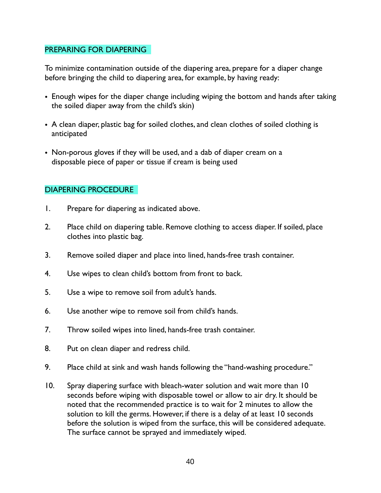#### PREPARING FOR DIAPERING

To minimize contamination outside of the diapering area, prepare for a diaper change before bringing the child to diapering area, for example, by having ready:

- Enough wipes for the diaper change including wiping the bottom and hands after taking the soiled diaper away from the child's skin)
- A clean diaper, plastic bag for soiled clothes, and clean clothes of soiled clothing is anticipated
- Non-porous gloves if they will be used, and a dab of diaper cream on a disposable piece of paper or tissue if cream is being used

# DIAPERING PROCEDURE

- 1. Prepare for diapering as indicated above.
- 2. Place child on diapering table. Remove clothing to access diaper. If soiled, place clothes into plastic bag.
- 3. Remove soiled diaper and place into lined, hands-free trash container.
- 4. Use wipes to clean child's bottom from front to back.
- 5. Use a wipe to remove soil from adult's hands.
- 6. Use another wipe to remove soil from child's hands.
- 7. Throw soiled wipes into lined, hands-free trash container.
- 8. Put on clean diaper and redress child.
- 9. Place child at sink and wash hands following the "hand-washing procedure."
- 10. Spray diapering surface with bleach-water solution and wait more than 10 seconds before wiping with disposable towel or allow to air dry. It should be noted that the recommended practice is to wait for 2 minutes to allow the solution to kill the germs. However, if there is a delay of at least 10 seconds before the solution is wiped from the surface, this will be considered adequate. The surface cannot be sprayed and immediately wiped.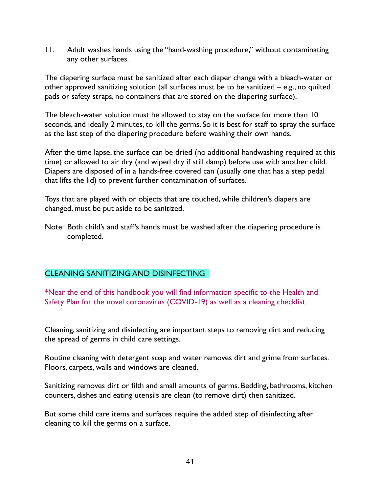11. Adult washes hands using the "hand-washing procedure," without contaminating any other surfaces.

The diapering surface must be sanitized after each diaper change with a bleach-water or other approved sanitizing solution (all surfaces must be to be sanitized – e.g., no quilted pads or safety straps, no containers that are stored on the diapering surface).

The bleach-water solution must be allowed to stay on the surface for more than 10 seconds, and ideally 2 minutes, to kill the germs. So it is best for staff to spray the surface as the last step of the diapering procedure before washing their own hands.

After the time lapse, the surface can be dried (no additional handwashing required at this time) or allowed to air dry (and wiped dry if still damp) before use with another child. Diapers are disposed of in a hands-free covered can (usually one that has a step pedal that lifts the lid) to prevent further contamination of surfaces.

Toys that are played with or objects that are touched, while children's diapers are changed, must be put aside to be sanitized.

Note: Both child's and staff's hands must be washed after the diapering procedure is completed.

## CLEANING SANITIZING AND DISINFECTING

\*Near the end of this handbook you will find information specific to the Health and Safety Plan for the novel coronavirus (COVID-19) as well as a cleaning checklist.

Cleaning, sanitizing and disinfecting are important steps to removing dirt and reducing the spread of germs in child care settings.

Routine cleaning with detergent soap and water removes dirt and grime from surfaces. Floors, carpets, walls and windows are cleaned.

Sanitizing removes dirt or filth and small amounts of germs. Bedding, bathrooms, kitchen counters, dishes and eating utensils are clean (to remove dirt) then sanitized.

But some child care items and surfaces require the added step of disinfecting after cleaning to kill the germs on a surface.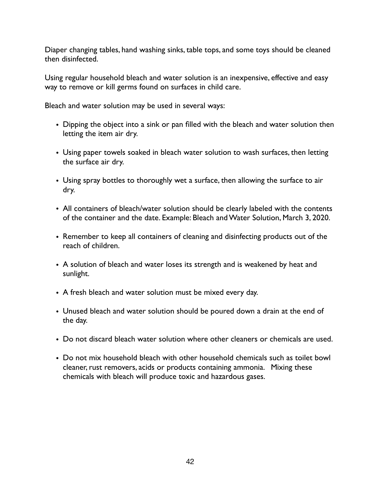Diaper changing tables, hand washing sinks, table tops, and some toys should be cleaned then disinfected.

Using regular household bleach and water solution is an inexpensive, effective and easy way to remove or kill germs found on surfaces in child care.

Bleach and water solution may be used in several ways:

- Dipping the object into a sink or pan filled with the bleach and water solution then letting the item air dry.
- Using paper towels soaked in bleach water solution to wash surfaces, then letting the surface air dry.
- Using spray bottles to thoroughly wet a surface, then allowing the surface to air dry.
- All containers of bleach/water solution should be clearly labeled with the contents of the container and the date. Example: Bleach and Water Solution, March 3, 2020.
- Remember to keep all containers of cleaning and disinfecting products out of the reach of children.
- A solution of bleach and water loses its strength and is weakened by heat and sunlight.
- A fresh bleach and water solution must be mixed every day.
- Unused bleach and water solution should be poured down a drain at the end of the day.
- Do not discard bleach water solution where other cleaners or chemicals are used.
- Do not mix household bleach with other household chemicals such as toilet bowl cleaner, rust removers, acids or products containing ammonia. Mixing these chemicals with bleach will produce toxic and hazardous gases.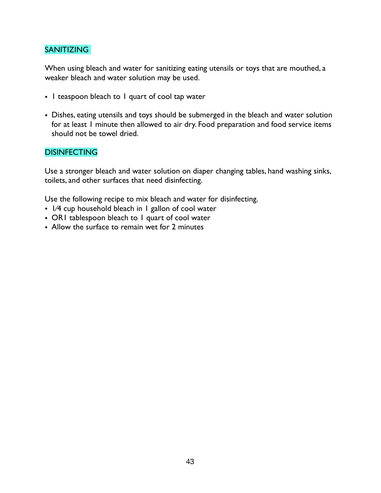## SANITIZING

When using bleach and water for sanitizing eating utensils or toys that are mouthed, a weaker bleach and water solution may be used.

- 1 teaspoon bleach to 1 quart of cool tap water
- Dishes, eating utensils and toys should be submerged in the bleach and water solution for at least 1 minute then allowed to air dry. Food preparation and food service items should not be towel dried.

#### **DISINFECTING**

Use a stronger bleach and water solution on diaper changing tables, hand washing sinks, toilets, and other surfaces that need disinfecting.

Use the following recipe to mix bleach and water for disinfecting.

- 1⁄4 cup household bleach in 1 gallon of cool water
- ORI tablespoon bleach to I quart of cool water
- Allow the surface to remain wet for 2 minutes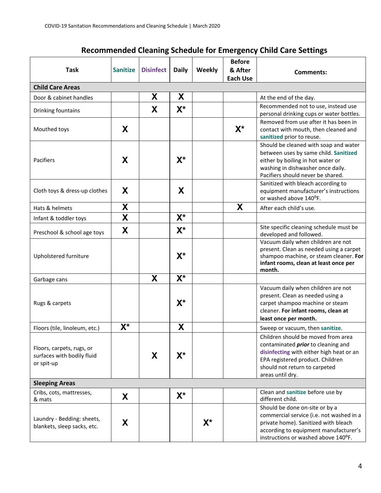| <b>Task</b>                                                           | <b>Sanitize</b>         | <b>Disinfect</b> | <b>Daily</b> | Weekly | <b>Before</b><br>& After<br><b>Each Use</b> | <b>Comments:</b>                                                                                                                                                                                                     |
|-----------------------------------------------------------------------|-------------------------|------------------|--------------|--------|---------------------------------------------|----------------------------------------------------------------------------------------------------------------------------------------------------------------------------------------------------------------------|
| <b>Child Care Areas</b>                                               |                         |                  |              |        |                                             |                                                                                                                                                                                                                      |
| Door & cabinet handles                                                |                         | X                | X            |        |                                             | At the end of the day.                                                                                                                                                                                               |
| Drinking fountains                                                    |                         | X                | $X^*$        |        |                                             | Recommended not to use, instead use<br>personal drinking cups or water bottles.                                                                                                                                      |
| Mouthed toys                                                          | X                       |                  |              |        | $X^*$                                       | Removed from use after it has been in<br>contact with mouth, then cleaned and<br>sanitized prior to reuse.                                                                                                           |
| Pacifiers                                                             | X                       |                  | $X^*$        |        |                                             | Should be cleaned with soap and water<br>between uses by same child. Sanitized<br>either by boiling in hot water or<br>washing in dishwasher once daily.<br>Pacifiers should never be shared.                        |
| Cloth toys & dress-up clothes                                         | X                       |                  | X            |        |                                             | Sanitized with bleach according to<br>equipment manufacturer's instructions<br>or washed above 140°F.                                                                                                                |
| Hats & helmets                                                        | X                       |                  |              |        | X                                           | After each child's use.                                                                                                                                                                                              |
| Infant & toddler toys                                                 | $\overline{\mathsf{X}}$ |                  | $X^*$        |        |                                             |                                                                                                                                                                                                                      |
| Preschool & school age toys                                           | X                       |                  | $X^*$        |        |                                             | Site specific cleaning schedule must be<br>developed and followed.                                                                                                                                                   |
| Upholstered furniture                                                 |                         |                  | $X^*$        |        |                                             | Vacuum daily when children are not<br>present. Clean as needed using a carpet<br>shampoo machine, or steam cleaner. For<br>infant rooms, clean at least once per<br>month.                                           |
| Garbage cans                                                          |                         | X                | $X^*$        |        |                                             |                                                                                                                                                                                                                      |
| Rugs & carpets                                                        |                         |                  | $X^*$        |        |                                             | Vacuum daily when children are not<br>present. Clean as needed using a<br>carpet shampoo machine or steam<br>cleaner. For infant rooms, clean at<br>least once per month.                                            |
| Floors (tile, linoleum, etc.)                                         | $X^*$                   |                  | X            |        |                                             | Sweep or vacuum, then sanitize.                                                                                                                                                                                      |
| Floors, carpets, rugs, or<br>surfaces with bodily fluid<br>or spit-up |                         | X                | X*           |        |                                             | Children should be moved from area<br>contaminated <i>prior</i> to cleaning and<br>disinfecting with either high heat or an<br>EPA registered product. Children<br>should not return to carpeted<br>areas until dry. |
| <b>Sleeping Areas</b>                                                 |                         |                  |              |        |                                             |                                                                                                                                                                                                                      |
| Cribs, cots, mattresses,<br>& mats                                    | X                       |                  | $X^*$        |        |                                             | Clean and sanitize before use by<br>different child.                                                                                                                                                                 |
| Laundry - Bedding: sheets,<br>blankets, sleep sacks, etc.             | X                       |                  |              | $X^*$  |                                             | Should be done on-site or by a<br>commercial service (i.e. not washed in a<br>private home). Sanitized with bleach<br>according to equipment manufacturer's<br>instructions or washed above 140°F.                   |

# **Recommended Cleaning Schedule for Emergency Child Care Settings**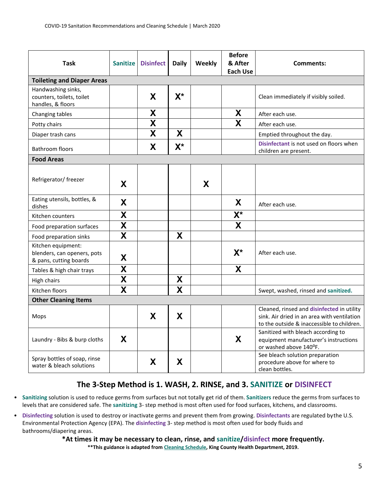| Task                                                                        | <b>Sanitize</b>           | <b>Disinfect</b>        | <b>Daily</b>            | Weekly | <b>Before</b><br>& After<br><b>Each Use</b> | Comments:                                                                                                                               |
|-----------------------------------------------------------------------------|---------------------------|-------------------------|-------------------------|--------|---------------------------------------------|-----------------------------------------------------------------------------------------------------------------------------------------|
| <b>Toileting and Diaper Areas</b>                                           |                           |                         |                         |        |                                             |                                                                                                                                         |
| Handwashing sinks,<br>counters, toilets, toilet<br>handles, & floors        |                           | X                       | $X^*$                   |        |                                             | Clean immediately if visibly soiled.                                                                                                    |
| Changing tables                                                             |                           | X                       |                         |        | X                                           | After each use.                                                                                                                         |
| Potty chairs                                                                |                           | $\overline{\textbf{X}}$ |                         |        | $\overline{\mathbf{X}}$                     | After each use.                                                                                                                         |
| Diaper trash cans                                                           |                           | X                       | X                       |        |                                             | Emptied throughout the day.                                                                                                             |
| <b>Bathroom floors</b>                                                      |                           | X                       | $X^*$                   |        |                                             | Disinfectant is not used on floors when<br>children are present.                                                                        |
| <b>Food Areas</b>                                                           |                           |                         |                         |        |                                             |                                                                                                                                         |
| Refrigerator/ freezer                                                       | X                         |                         |                         | X      |                                             |                                                                                                                                         |
| Eating utensils, bottles, &<br>dishes                                       | X                         |                         |                         |        | X                                           | After each use.                                                                                                                         |
| Kitchen counters                                                            | X                         |                         |                         |        | $X^*$                                       |                                                                                                                                         |
| Food preparation surfaces                                                   | $\boldsymbol{\mathsf{X}}$ |                         |                         |        | X                                           |                                                                                                                                         |
| Food preparation sinks                                                      | $\overline{\mathsf{x}}$   |                         | X                       |        |                                             |                                                                                                                                         |
| Kitchen equipment:<br>blenders, can openers, pots<br>& pans, cutting boards | X                         |                         |                         |        | $X^*$                                       | After each use.                                                                                                                         |
| Tables & high chair trays                                                   | X                         |                         |                         |        | X                                           |                                                                                                                                         |
| High chairs                                                                 | $\boldsymbol{X}$          |                         | X                       |        |                                             |                                                                                                                                         |
| Kitchen floors                                                              | $\overline{\mathsf{X}}$   |                         | $\overline{\mathsf{X}}$ |        |                                             | Swept, washed, rinsed and sanitized.                                                                                                    |
| <b>Other Cleaning Items</b>                                                 |                           |                         |                         |        |                                             |                                                                                                                                         |
| Mops                                                                        |                           | X                       | X                       |        |                                             | Cleaned, rinsed and disinfected in utility<br>sink. Air dried in an area with ventilation<br>to the outside & inaccessible to children. |
| Laundry - Bibs & burp cloths                                                | X                         |                         |                         |        | X                                           | Sanitized with bleach according to<br>equipment manufacturer's instructions<br>or washed above 140°F.                                   |
| Spray bottles of soap, rinse<br>water & bleach solutions                    |                           | X                       | X                       |        |                                             | See bleach solution preparation<br>procedure above for where to<br>clean bottles.                                                       |

# **The 3-Step Method is 1. WASH, 2. RINSE, and 3. SANITIZE or DISINFECT**

- **Sanitizing** solution is used to reduce germs from surfaces but not totally get rid of them. **Sanitizers** reduce the germs from surfaces to levels that are considered safe. The **sanitizing** 3- step method is most often used for food surfaces, kitchens, and classrooms.
- **Disinfecting** solution is used to destroy or inactivate germs and prevent them from growing. **Disinfectants** are regulated bythe U.S. Environmental Protection Agency (EPA). The **disinfecting** 3- step method is most often used for body fluids and bathrooms/diapering areas.

#### **\*At times it may be necessary to clean, rinse, and sanitize/disinfect more frequently.**

**\*\*This guidance is adapted from Cleaning Schedule, King County Health Department, 2019.**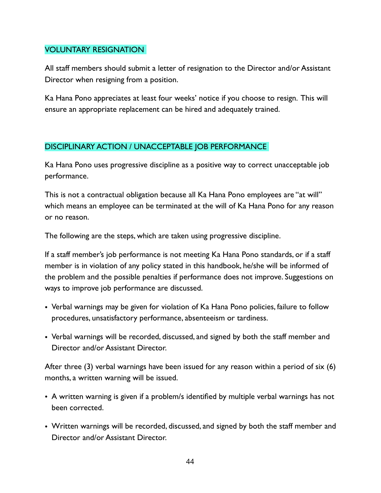# VOLUNTARY RESIGNATION

All staff members should submit a letter of resignation to the Director and/or Assistant Director when resigning from a position.

Ka Hana Pono appreciates at least four weeks' notice if you choose to resign. This will ensure an appropriate replacement can be hired and adequately trained.

# DISCIPLINARY ACTION / UNACCEPTABLE JOB PERFORMANCE

Ka Hana Pono uses progressive discipline as a positive way to correct unacceptable job performance.

This is not a contractual obligation because all Ka Hana Pono employees are "at will" which means an employee can be terminated at the will of Ka Hana Pono for any reason or no reason.

The following are the steps, which are taken using progressive discipline.

If a staff member's job performance is not meeting Ka Hana Pono standards, or if a staff member is in violation of any policy stated in this handbook, he/she will be informed of the problem and the possible penalties if performance does not improve. Suggestions on ways to improve job performance are discussed.

- Verbal warnings may be given for violation of Ka Hana Pono policies, failure to follow procedures, unsatisfactory performance, absenteeism or tardiness.
- Verbal warnings will be recorded, discussed, and signed by both the staff member and Director and/or Assistant Director.

After three (3) verbal warnings have been issued for any reason within a period of six (6) months, a written warning will be issued.

- A written warning is given if a problem/s identified by multiple verbal warnings has not been corrected.
- Written warnings will be recorded, discussed, and signed by both the staff member and Director and/or Assistant Director.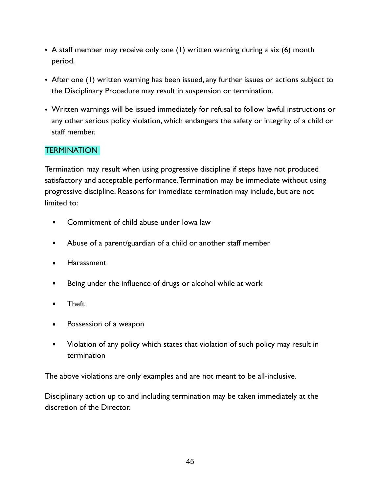- A staff member may receive only one (1) written warning during a six (6) month period.
- After one (1) written warning has been issued, any further issues or actions subject to the Disciplinary Procedure may result in suspension or termination.
- Written warnings will be issued immediately for refusal to follow lawful instructions or any other serious policy violation, which endangers the safety or integrity of a child or staff member.

# **TERMINATION**

Termination may result when using progressive discipline if steps have not produced satisfactory and acceptable performance. Termination may be immediate without using progressive discipline. Reasons for immediate termination may include, but are not limited to:

- Commitment of child abuse under Iowa law
- Abuse of a parent/guardian of a child or another staff member
- Harassment
- Being under the influence of drugs or alcohol while at work
- Theft
- Possession of a weapon
- Violation of any policy which states that violation of such policy may result in termination

The above violations are only examples and are not meant to be all-inclusive.

Disciplinary action up to and including termination may be taken immediately at the discretion of the Director.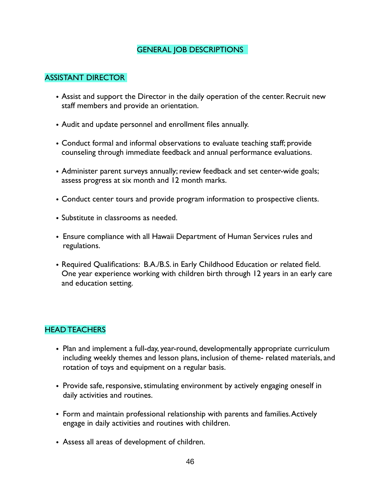# GENERAL JOB DESCRIPTIONS

#### ASSISTANT DIRECTOR

- Assist and support the Director in the daily operation of the center. Recruit new staff members and provide an orientation.
- Audit and update personnel and enrollment files annually.
- Conduct formal and informal observations to evaluate teaching staff; provide counseling through immediate feedback and annual performance evaluations.
- Administer parent surveys annually; review feedback and set center-wide goals; assess progress at six month and 12 month marks.
- Conduct center tours and provide program information to prospective clients.
- Substitute in classrooms as needed.
- Ensure compliance with all Hawaii Department of Human Services rules and regulations.
- Required Qualifications: B.A./B.S. in Early Childhood Education or related field. One year experience working with children birth through 12 years in an early care and education setting.

## HEAD TEACHERS

- Plan and implement a full-day, year-round, developmentally appropriate curriculum including weekly themes and lesson plans, inclusion of theme- related materials, and rotation of toys and equipment on a regular basis.
- Provide safe, responsive, stimulating environment by actively engaging oneself in daily activities and routines.
- Form and maintain professional relationship with parents and families. Actively engage in daily activities and routines with children.
- Assess all areas of development of children.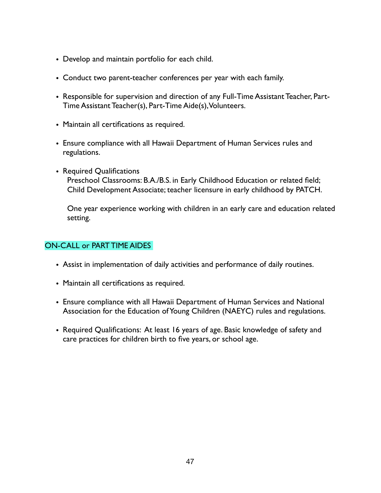- Develop and maintain portfolio for each child.
- Conduct two parent-teacher conferences per year with each family.
- Responsible for supervision and direction of any Full-Time Assistant Teacher, Part-Time Assistant Teacher(s), Part-Time Aide(s), Volunteers.
- Maintain all certifications as required.
- Ensure compliance with all Hawaii Department of Human Services rules and regulations.
- Required Qualifications Preschool Classrooms: B.A./B.S. in Early Childhood Education or related field; Child Development Associate; teacher licensure in early childhood by PATCH.

One year experience working with children in an early care and education related setting.

## ON-CALL or PART TIME AIDES

- Assist in implementation of daily activities and performance of daily routines.
- Maintain all certifications as required.
- Ensure compliance with all Hawaii Department of Human Services and National Association for the Education of Young Children (NAEYC) rules and regulations.
- Required Qualifications: At least 16 years of age. Basic knowledge of safety and care practices for children birth to five years, or school age.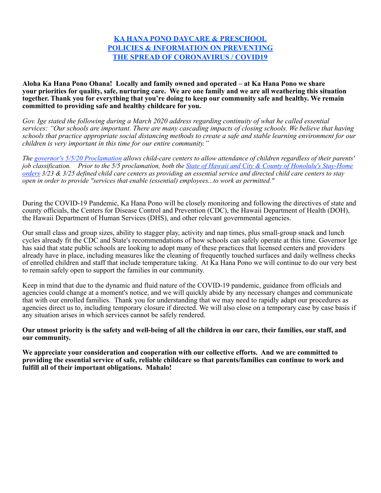#### **KA HANA PONO DAYCARE & PRESCHOOL POLICIES & INFORMATION ON PREVENTING THE SPREAD OF CORONAVIRUS / COVID19**

**Aloha Ka Hana Pono Ohana! Locally and family owned and operated – at Ka Hana Pono we share your priorities for quality, safe, nurturing care. We are one family and we are all weathering this situation together. Thank you for everything that you're doing to keep our community safe and healthy. We remain committed to providing safe and healthy childcare for you.** 

*Gov. Ige stated the following during a March 2020 address regarding continuity of what he called essential services: "Our schools are important. There are many cascading impacts of closing schools. We believe that having schools that practice appropriate social distancing methods to create a safe and stable learning environment for our children is very important in this time for our entire community."* 

*The governor's 5/5/20 Proclamation allows child-care centers to allow attendance of children regardless of their parents' job classification. Prior to the 5/5 proclamation, both the State of Hawaii and City & County of Honolulu's Stay-Home orders 3/23 & 3/25 defined child care centers as providing an essential service and directed child care centers to stay open in order to provide "services that enable (essential) employees...to work as permitted."* 

During the COVID-19 Pandemic, Ka Hana Pono will be closely monitoring and following the directives of state and county officials, the Centers for Disease Control and Prevention (CDC), the Hawaii Department of Health (DOH), the Hawaii Department of Human Services (DHS), and other relevant governmental agencies.

Our small class and group sizes, ability to stagger play, activity and nap times, plus small-group snack and lunch cycles already fit the CDC and State's recommendations of how schools can safely operate at this time. Governor Ige has said that state public schools are looking to adopt many of these practices that licensed centers and providers already have in place, including measures like the cleaning of frequently touched surfaces and daily wellness checks of enrolled children and staff that include temperature taking. At Ka Hana Pono we will continue to do our very best to remain safely open to support the families in our community.

Keep in mind that due to the dynamic and fluid nature of the COVID-19 pandemic, guidance from officials and agencies could change at a moment's notice, and we will quickly abide by any necessary changes and communicate that with our enrolled families. Thank you for understanding that we may need to rapidly adapt our procedures as agencies direct us to, including temporary closure if directed. We will also close on a temporary case by case basis if any situation arises in which services cannot be safely rendered.

#### **Our utmost priority is the safety and well-being of all the children in our care, their families, our staff, and our community.**

**We appreciate your consideration and cooperation with our collective efforts. And we are committed to providing the essential service of safe, reliable childcare so that parents/families can continue to work and fulfill all of their important obligations. Mahalo!**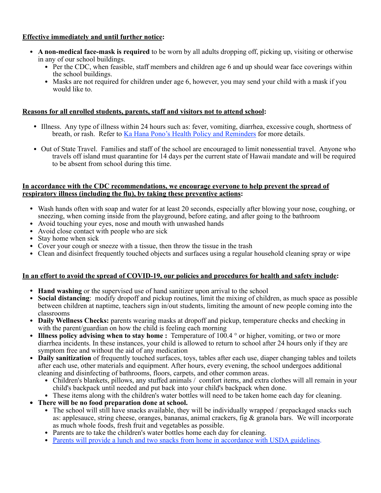#### **Effective immediately and until further notice:**

- **A non-medical face-mask is required** to be worn by all adults dropping off, picking up, visiting or otherwise in any of our school buildings.
	- Per the CDC, when feasible, staff members and children age 6 and up should wear face coverings within the school buildings.
	- Masks are not required for children under age 6, however, you may send your child with a mask if you would like to.

#### **Reasons for all enrolled students, parents, staff and visitors not to attend school:**

- Illness. Any type of illness within 24 hours such as: fever, vomiting, diarrhea, excessive cough, shortness of breath, or rash. Refer to Ka Hana Pono's Health Policy and Reminders for more details.
- Out of State Travel. Families and staff of the school are encouraged to limit nonessential travel. Anyone who travels off island must quarantine for 14 days per the current state of Hawaii mandate and will be required to be absent from school during this time.

#### **In accordance with the CDC recommendations, we encourage everyone to help prevent the spread of respiratory illness (including the flu), by taking these preventive actions:**

- Wash hands often with soap and water for at least 20 seconds, especially after blowing your nose, coughing, or sneezing, when coming inside from the playground, before eating, and after going to the bathroom
- Avoid touching your eyes, nose and mouth with unwashed hands
- Avoid close contact with people who are sick
- Stay home when sick
- Cover your cough or sneeze with a tissue, then throw the tissue in the trash
- Clean and disinfect frequently touched objects and surfaces using a regular household cleaning spray or wipe

#### **In an effort to avoid the spread of COVID-19, our policies and procedures for health and safety include:**

- **Hand washing** or the supervised use of hand sanitizer upon arrival to the school
- **Social distancing**: modify dropoff and pickup routines, limit the mixing of children, as much space as possible between children at naptime, teachers sign in/out students, limiting the amount of new people coming into the classrooms
- **Daily Wellness Checks:** parents wearing masks at dropoff and pickup, temperature checks and checking in with the parent/guardian on how the child is feeling each morning
- **Illness policy advising when to stay home :** Temperature of 100.4 ° or higher, vomiting, or two or more diarrhea incidents. In these instances, your child is allowed to return to school after 24 hours only if they are symptom free and without the aid of any medication
- **Daily sanitization** of frequently touched surfaces, toys, tables after each use, diaper changing tables and toilets after each use, other materials and equipment. After hours, every evening, the school undergoes additional cleaning and disinfecting of bathrooms, floors, carpets, and other common areas.
	- Children's blankets, pillows, any stuffed animals / comfort items, and extra clothes will all remain in your child's backpack until needed and put back into your child's backpack when done.
	- These items along with the children's water bottles will need to be taken home each day for cleaning.
- **• There will be no food preparation done at school.** 
	- The school will still have snacks available, they will be individually wrapped / prepackaged snacks such as: applesauce, string cheese, oranges, bananas, animal crackers, fig & granola bars. We will incorporate as much whole foods, fresh fruit and vegetables as possible.
	- Parents are to take the children's water bottles home each day for cleaning.
	- Parents will provide a lunch and two snacks from home in accordance with USDA guidelines.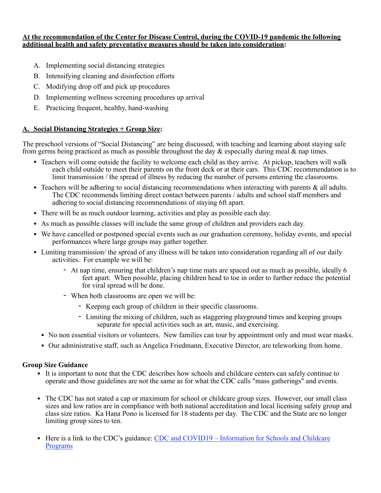#### **At the recommendation of the Center for Disease Control, during the COVID-19 pandemic the following additional health and safety preventative measures should be taken into consideration:**

- A. Implementing social distancing strategies
- B. Intensifying cleaning and disinfection efforts
- C. Modifying drop off and pick up procedures
- D. Implementing wellness screening procedures up arrival
- E. Practicing frequent, healthy, hand-washing

#### **A. Social Distancing Strategies + Group Size:**

The preschool versions of "Social Distancing" are being discussed, with teaching and learning about staying safe from germs being practiced as much as possible throughout the day & especially during meal & nap times.

- Teachers will come outside the facility to welcome each child as they arrive. At pickup, teachers will walk each child outside to meet their parents on the front deck or at their cars. This CDC recommendation is to limit transmission / the spread of illness by reducing the number of persons entering the classrooms.
- Teachers will be adhering to social distancing recommendations when interacting with parents  $\&$  all adults. The CDC recommends limiting direct contact between parents / adults and school staff members and adhering to social distancing recommendations of staying 6ft apart.
- There will be as much outdoor learning, activities and play as possible each day.
- As much as possible classes will include the same group of children and providers each day.
- We have cancelled or postponed special events such as our graduation ceremony, holiday events, and special performances where large groups may gather together.
- Limiting transmission/ the spread of any illness will be taken into consideration regarding all of our daily activities. For example we will be:
	- At nap time, ensuring that children's nap time mats are spaced out as much as possible, ideally 6 feet apart. When possible, placing children head to toe in order to further reduce the potential for viral spread will be done.
	- When both classrooms are open we will be:
		- Keeping each group of children in their specific classrooms.
		- Limiting the mixing of children, such as staggering playground times and keeping groups separate for special activities such as art, music, and exercising.
	- No non essential visitors or volunteers. New families can tour by appointment only and must wear masks.
	- Our administrative staff, such as Angelica Friedmann, Executive Director, are teleworking from home.

#### **Group Size Guidance**

- It is important to note that the CDC describes how schools and childcare centers can safely continue to operate and those guidelines are not the same as for what the CDC calls "mass gatherings" and events.
- The CDC has not stated a cap or maximum for school or childcare group sizes. However, our small class sizes and low ratios are in compliance with both national accreditation and local licensing safety group and class size ratios. Ka Hana Pono is licensed for 18 students per day. The CDC and the State are no longer limiting group sizes to ten.
- Here is a link to the CDC's guidance: CDC and COVID19 Information for Schools and Childcare Programs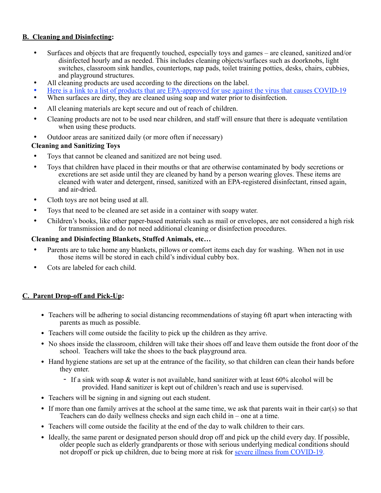#### **B. Cleaning and Disinfecting:**

- Surfaces and objects that are frequently touched, especially toys and games are cleaned, sanitized and/or disinfected hourly and as needed. This includes cleaning objects/surfaces such as doorknobs, light switches, classroom sink handles, countertops, nap pads, toilet training potties, desks, chairs, cubbies, and playground structures.
- All cleaning products are used according to the directions on the label.
- Here is a link to a list of products that are EPA-approved for use against the virus that causes COVID-19
- When surfaces are dirty, they are cleaned using soap and water prior to disinfection.
- All cleaning materials are kept secure and out of reach of children.
- Cleaning products are not to be used near children, and staff will ensure that there is adequate ventilation when using these products.
- Outdoor areas are sanitized daily (or more often if necessary)

#### **Cleaning and Sanitizing Toys**

- Toys that cannot be cleaned and sanitized are not being used.
- Toys that children have placed in their mouths or that are otherwise contaminated by body secretions or excretions are set aside until they are cleaned by hand by a person wearing gloves. These items are cleaned with water and detergent, rinsed, sanitized with an EPA-registered disinfectant, rinsed again, and air-dried.
- Cloth toys are not being used at all.
- Toys that need to be cleaned are set aside in a container with soapy water.
- Children's books, like other paper-based materials such as mail or envelopes, are not considered a high risk for transmission and do not need additional cleaning or disinfection procedures.

#### **Cleaning and Disinfecting Blankets, Stuffed Animals, etc…**

- Parents are to take home any blankets, pillows or comfort items each day for washing. When not in use those items will be stored in each child's individual cubby box.
- Cots are labeled for each child.

#### **C. Parent Drop-off and Pick-Up:**

- Teachers will be adhering to social distancing recommendations of staying 6ft apart when interacting with parents as much as possible.
- Teachers will come outside the facility to pick up the children as they arrive.
- No shoes inside the classroom, children will take their shoes off and leave them outside the front door of the school. Teachers will take the shoes to the back playground area.
- Hand hygiene stations are set up at the entrance of the facility, so that children can clean their hands before they enter.
	- If a sink with soap & water is not available, hand sanitizer with at least 60% alcohol will be provided. Hand sanitizer is kept out of children's reach and use is supervised.
- Teachers will be signing in and signing out each student.
- If more than one family arrives at the school at the same time, we ask that parents wait in their car(s) so that Teachers can do daily wellness checks and sign each child in – one at a time.
- Teachers will come outside the facility at the end of the day to walk children to their cars.
- Ideally, the same parent or designated person should drop off and pick up the child every day. If possible, older people such as elderly grandparents or those with serious underlying medical conditions should not dropoff or pick up children, due to being more at risk for severe illness from COVID-19.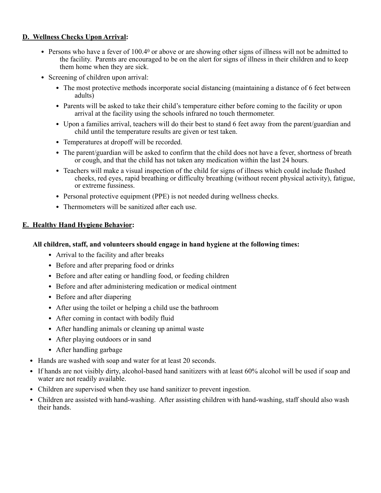#### **D. Wellness Checks Upon Arrival:**

- Persons who have a fever of 100.40 or above or are showing other signs of illness will not be admitted to the facility. Parents are encouraged to be on the alert for signs of illness in their children and to keep them home when they are sick.
- Screening of children upon arrival:
	- The most protective methods incorporate social distancing (maintaining a distance of 6 feet between adults)
	- Parents will be asked to take their child's temperature either before coming to the facility or upon arrival at the facility using the schools infrared no touch thermometer.
	- Upon a families arrival, teachers will do their best to stand 6 feet away from the parent/guardian and child until the temperature results are given or test taken.
	- Temperatures at dropoff will be recorded.
	- The parent/guardian will be asked to confirm that the child does not have a fever, shortness of breath or cough, and that the child has not taken any medication within the last 24 hours.
	- Teachers will make a visual inspection of the child for signs of illness which could include flushed cheeks, red eyes, rapid breathing or difficulty breathing (without recent physical activity), fatigue, or extreme fussiness.
	- Personal protective equipment (PPE) is not needed during wellness checks.
	- Thermometers will be sanitized after each use.

#### **E. Healthy Hand Hygiene Behavior:**

#### **All children, staff, and volunteers should engage in hand hygiene at the following times:**

- Arrival to the facility and after breaks
- Before and after preparing food or drinks
- Before and after eating or handling food, or feeding children
- Before and after administering medication or medical ointment
- Before and after diapering
- After using the toilet or helping a child use the bathroom
- After coming in contact with bodily fluid
- After handling animals or cleaning up animal waste
- After playing outdoors or in sand
- After handling garbage
- Hands are washed with soap and water for at least 20 seconds.
- If hands are not visibly dirty, alcohol-based hand sanitizers with at least 60% alcohol will be used if soap and water are not readily available.
- Children are supervised when they use hand sanitizer to prevent ingestion.
- Children are assisted with hand-washing. After assisting children with hand-washing, staff should also wash their hands.